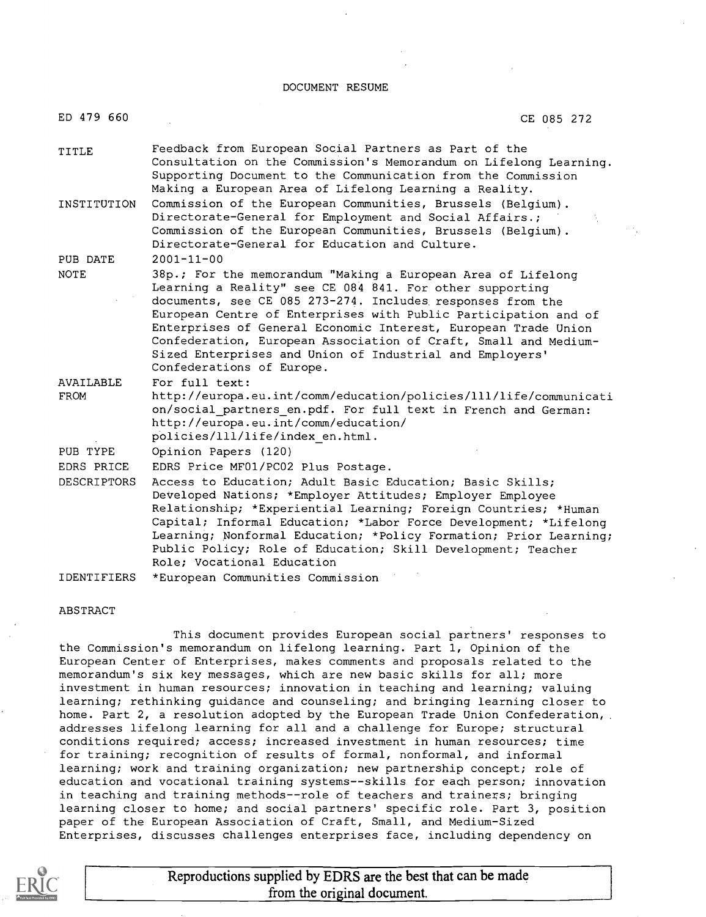DOCUMENT RESUME

| ED 479 660                       | CE 085 272                                                                                                                                                                                                                                                                                                                                                                                                                                                                                                  |
|----------------------------------|-------------------------------------------------------------------------------------------------------------------------------------------------------------------------------------------------------------------------------------------------------------------------------------------------------------------------------------------------------------------------------------------------------------------------------------------------------------------------------------------------------------|
| TITLE                            | Feedback from European Social Partners as Part of the<br>Consultation on the Commission's Memorandum on Lifelong Learning.<br>Supporting Document to the Communication from the Commission<br>Making a European Area of Lifelong Learning a Reality.                                                                                                                                                                                                                                                        |
| INSTITUTION                      | Commission of the European Communities, Brussels (Belgium).<br>Directorate-General for Employment and Social Affairs.;<br>Commission of the European Communities, Brussels (Belgium).<br>Directorate-General for Education and Culture.                                                                                                                                                                                                                                                                     |
| PUB DATE<br><b>NOTE</b>          | $2001 - 11 - 00$<br>38p.; For the memorandum "Making a European Area of Lifelong<br>Learning a Reality" see CE 084 841. For other supporting<br>documents, see CE 085 273-274. Includes responses from the<br>European Centre of Enterprises with Public Participation and of<br>Enterprises of General Economic Interest, European Trade Union<br>Confederation, European Association of Craft, Small and Medium-<br>Sized Enterprises and Union of Industrial and Employers'<br>Confederations of Europe. |
| AVAILABLE<br><b>FROM</b>         | For full text:<br>http://europa.eu.int/comm/education/policies/lll/life/communicati<br>on/social partners en.pdf. For full text in French and German:<br>http://europa.eu.int/comm/education/<br>policies/111/life/index en.html.                                                                                                                                                                                                                                                                           |
| PUB TYPE                         | Opinion Papers (120)                                                                                                                                                                                                                                                                                                                                                                                                                                                                                        |
| EDRS PRICE<br><b>DESCRIPTORS</b> | EDRS Price MF01/PC02 Plus Postage.<br>Access to Education; Adult Basic Education; Basic Skills;<br>Developed Nations; *Employer Attitudes; Employer Employee<br>Relationship; *Experiential Learning; Foreign Countries; *Human<br>Capital; Informal Education; *Labor Force Development; *Lifelong<br>Learning; Nonformal Education; *Policy Formation; Prior Learning;<br>Public Policy; Role of Education; Skill Development; Teacher<br>Role; Vocational Education                                      |
| <b>IDENTIFIERS</b>               | *European Communities Commission                                                                                                                                                                                                                                                                                                                                                                                                                                                                            |

#### ABSTRACT

This document provides European social partners' responses to the Commission's memorandum on lifelong learning. Part 1, Opinion of the European Center of Enterprises, makes comments and proposals related to the memorandum's six key messages, which are new basic skills for all; more investment in human resources; innovation in teaching and learning; valuing learning; rethinking guidance and counseling; and bringing learning closer to home. Part 2, a resolution adopted by the European Trade Union Confederation, . addresses lifelong learning for all and a challenge for Europe; structural conditions required; access; increased investment in human resources; time for training; recognition of results of formal, nonformal, and informal learning; work and training organization; new partnership concept; role of education and vocational training systems--skills for each person; innovation in teaching and training methods--role of teachers and trainers; bringing learning closer to home; and social partners' specific role. Part 3, position paper of the European Association of Craft, Small, and Medium-Sized Enterprises, discusses challenges enterprises face, including dependency on



Reproductions supplied by EDRS are the best that can be made from the original document.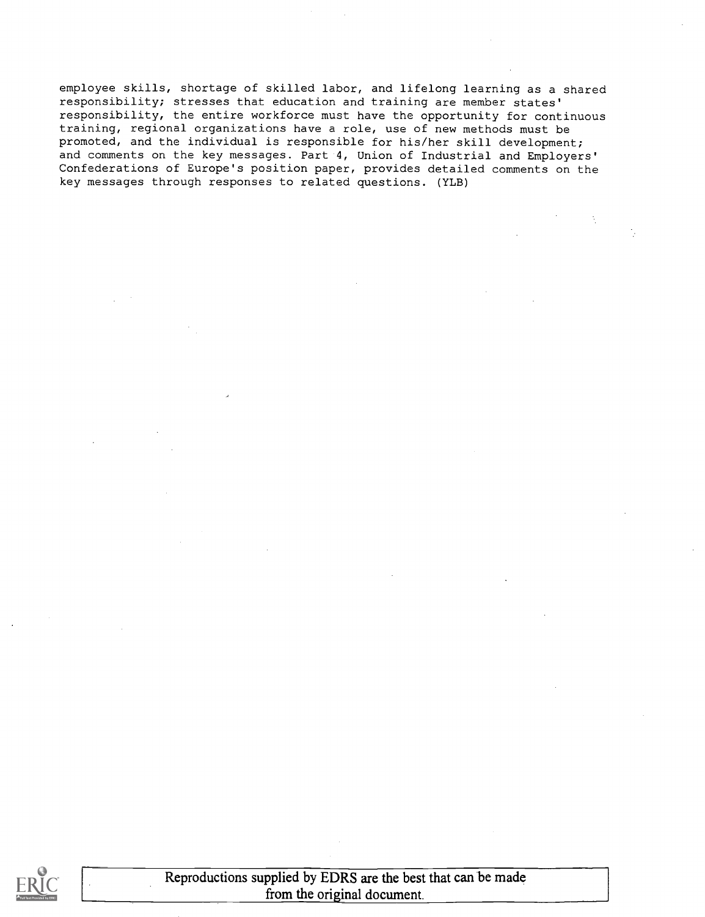employee skills, shortage of skilled labor, and lifelong learning as a shared responsibility; stresses that education and training are member states' responsibility, the entire workforce must have the opportunity for continuous training, regional organizations have a role, use of new methods must be promoted, and the individual is responsible for his/her skill development; and comments on the key messages. Part 4, Union of Industrial and Employers' Confederations of Europe's position paper, provides detailed comments on the key messages through responses to related questions. (YLB)



Reproductions supplied by EDRS are the best that can be made from the original document.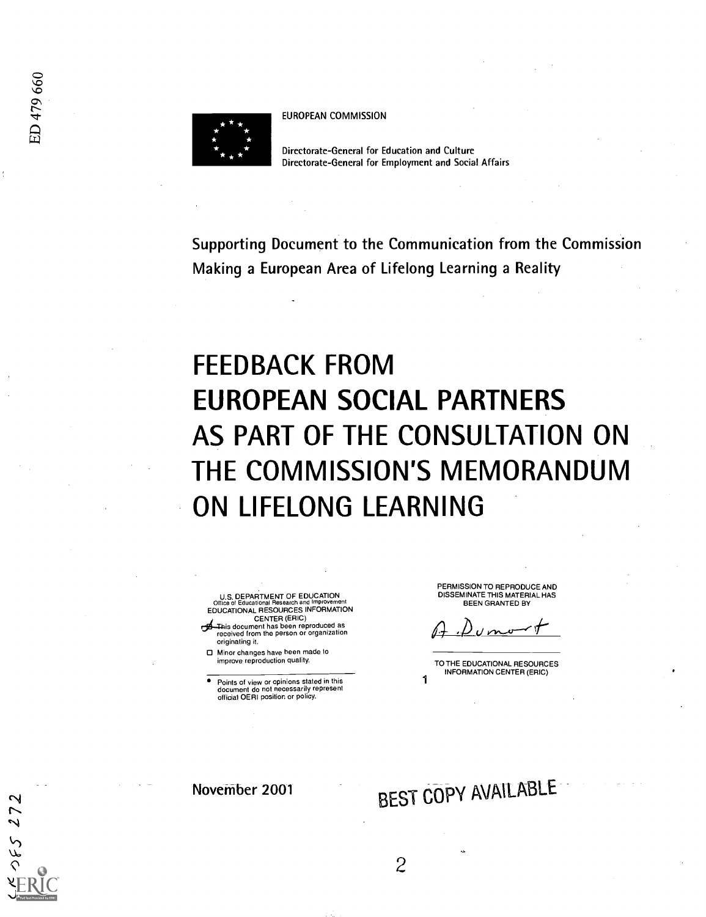$552$ 



EUROPEAN COMMISSION

Directorate-General for Education and Culture Directorate-General for Employment and Social Affairs

Supporting Document to the Communication from the Commission Making a European Area of Lifelong Learning a Reality

# FEEDBACK FROM EUROPEAN SOCIAL PARTNERS AS PART OF THE CONSULTATION ON THE COMMISSION'S MEMORANDUM ON LIFELONG LEARNING

U.S. DEPARTMENT OF EDUCATION<br>Office of Educational Research and Improvement<br>EDUCATIONAL RESOURCES INFORMATION CENTER (ERIC)

- dThis document has been reproduced as received from the person or organization originating it.
- Minor changes have been made to improve reproduction quality.

Points of view or opinions stated in this document do not necessarily represent official OERI position or policy.

PERMISSION TO REPRODUCE AND DISSEMINATE THIS MATERIAL HAS BEEN GRANTED BY

TO THE EDUCATIONAL RESOURCES INFORMATION CENTER (ERIC) 1

November 2001

# BEST COPY AVAILABLE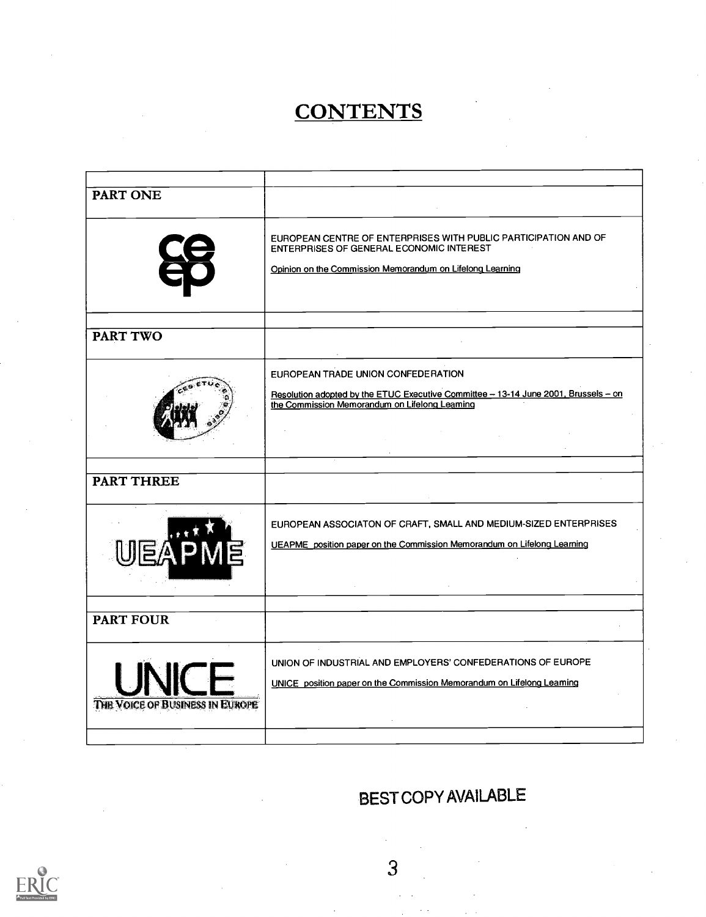# **CONTENTS**

| <b>PART ONE</b>                 |                                                                                                                                                                                 |
|---------------------------------|---------------------------------------------------------------------------------------------------------------------------------------------------------------------------------|
|                                 | EUROPEAN CENTRE OF ENTERPRISES WITH PUBLIC PARTICIPATION AND OF<br><b>ENTERPRISES OF GENERAL ECONOMIC INTEREST</b><br>Opinion on the Commission Memorandum on Lifelong Learning |
| <b>PART TWO</b>                 |                                                                                                                                                                                 |
|                                 |                                                                                                                                                                                 |
|                                 | EUROPEAN TRADE UNION CONFEDERATION<br>Resolution adopted by the ETUC Executive Committee - 13-14 June 2001, Brussels - on<br>the Commission Memorandum on Lifelong Leaming      |
|                                 |                                                                                                                                                                                 |
| <b>PART THREE</b>               |                                                                                                                                                                                 |
|                                 | EUROPEAN ASSOCIATON OF CRAFT, SMALL AND MEDIUM-SIZED ENTERPRISES<br>UEAPME_position paper on the Commission Memorandum on Lifelong Learning                                     |
| <b>PART FOUR</b>                |                                                                                                                                                                                 |
| THE VOICE OF BUSINESS IN EUROPE | UNION OF INDUSTRIAL AND EMPLOYERS' CONFEDERATIONS OF EUROPE<br>UNICE position paper on the Commission Memorandum on Lifelong Leaming                                            |
|                                 |                                                                                                                                                                                 |
|                                 |                                                                                                                                                                                 |

# BEST COPY AVAILABLE

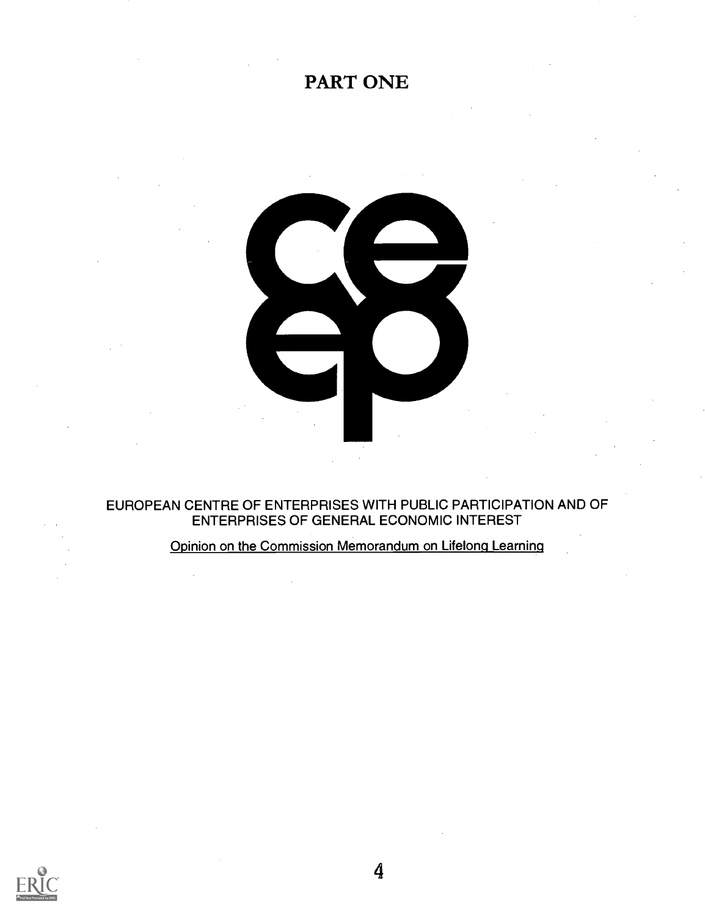# PART ONE



### EUROPEAN CENTRE OF ENTERPRISES WITH PUBLIC PARTICIPATION AND OF ENTERPRISES OF GENERAL ECONOMIC INTEREST

### Opinion on the Commission Memorandum on Lifelong Learning

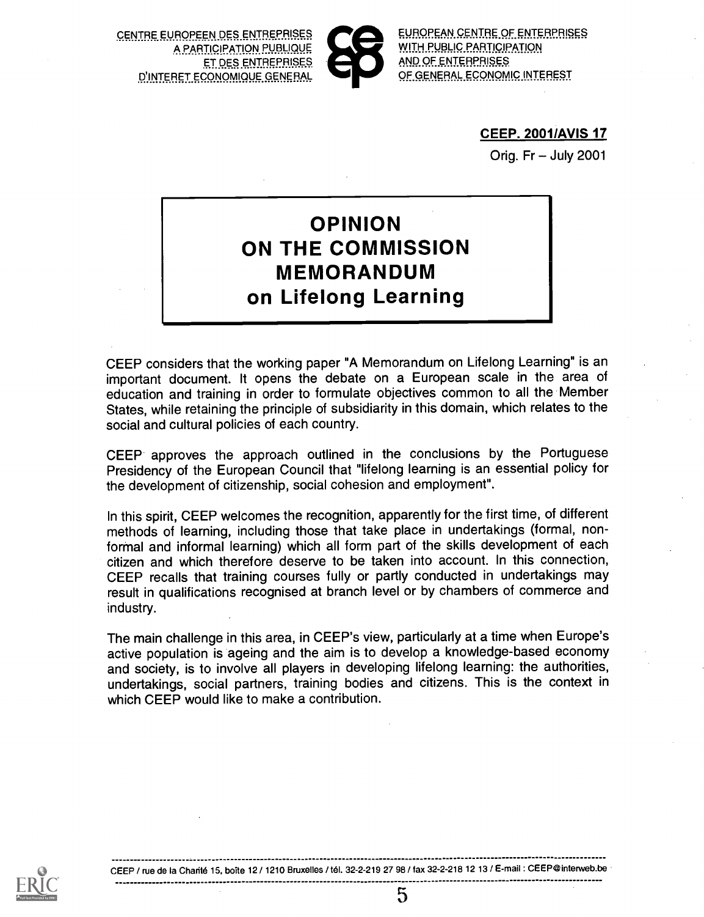CENTRE EUROPEEN DES ENTREPRISES A PARTICIPATION PUBLIQUE ET DES ENTREPRISES D'INTERET ECONOMIQUE GENERAL



EUROPEAN CENTRE OF ENTERPRISES WITH PUBLIC PARTICIPATION AND OF ENTERPRISES OF GENERAL ECONOMIC INTEREST

#### CEEP. 2001/AVIS 17

Orig. Fr  $-$  July 2001

# OPINION ON THE COMMISSION MEMORANDUM on Lifelong Learning

CEEP considers that the working paper "A Memorandum on Lifelong Learning" is an important document. It opens the debate on a European scale in the area of education and training in order to formulate objectives common to all the Member States, while retaining the principle of subsidiarity in this domain, which relates to the social and cultural policies of each country.

CEEP approves the approach outlined in the conclusions by the Portuguese Presidency of the European Council that "lifelong learning is an essential policy for the development of citizenship, social cohesion and employment".

In this spirit, CEEP welcomes the recognition, apparently for the first time, of different methods of learning, including those that take place in undertakings (formal, nonforrnal and informal learning) which all form part of the skills development of each citizen and which therefore deserve to be taken into account. In this connection, CEEP recalls that training courses fully or partly conducted in undertakings may result in qualifications recognised at branch level or by chambers of commerce and industry.

The main challenge in this area, in CEEP's view, particularly at a time when Europe's active population is ageing and the aim is to develop a knowledge-based economy and society, is to involve all players in developing lifelong learning: the authorities, undertakings, social partners, training bodies and citizens. This is the context in which CFFP would like to make a contribution.



CEEP / rue de la Charité 15, boîte 12 / 1210 Bruxelles / tél. 32-2-219 27 98 / fax 32-2-218 12 13 / E-mail : CEEP@interweb.be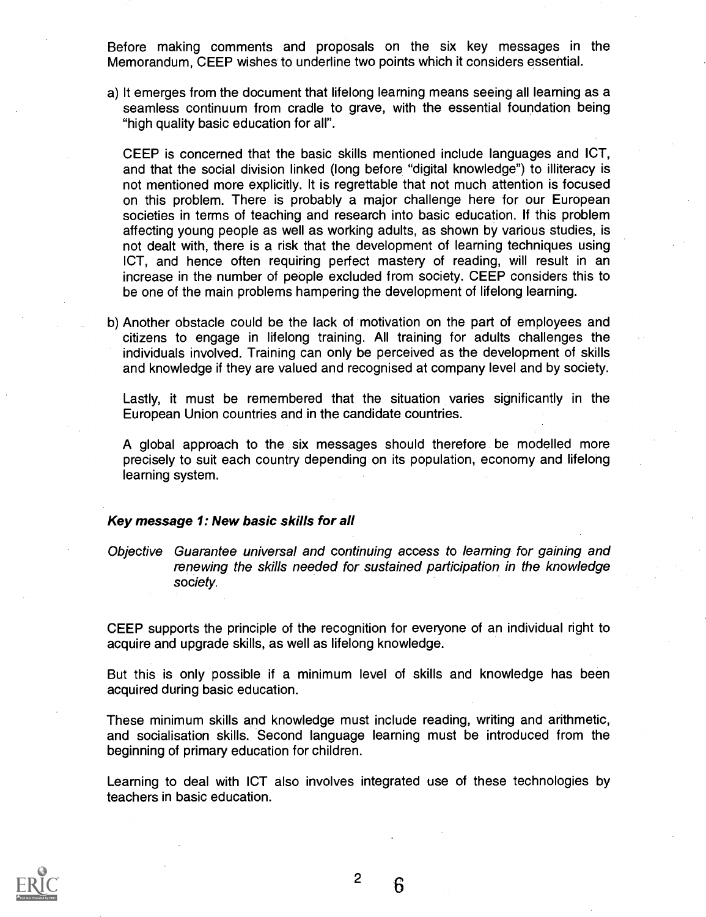Before making comments and proposals on the six key messages in the Memorandum, CEEP wishes to underline two points which it considers essential.

a) It emerges from the document that lifelong learning means seeing all learning as a seamless continuum from cradle to grave, with the essential foundation being "high quality basic education for all".

CEEP is concerned that the basic skills mentioned include languages and ICT, and that the social division linked (long before "digital knowledge") to illiteracy is not mentioned more explicitly. It is regrettable that not much attention is focused on this problem. There is probably a major challenge here for our European societies in terms of teaching and research into basic education. If this problem affecting young people as well as working adults, as shown by various studies, is not dealt with, there is a risk that the development of learning techniques using ICT, and hence often requiring perfect mastery of reading, will result in an increase in the number of people excluded from society. CEEP considers this to be one of the main problems hampering the development of lifelong learning.

b) Another obstacle could be the lack of motivation on the part of employees and citizens to engage in lifelong training. All training for adults challenges the individuals involved. Training can only be perceived as the development of skills and knowledge if they are valued and recognised at company level and by society.

Lastly, it must be remembered that the situation varies significantly in the European Union countries and in the candidate countries.

A global approach to the six messages should therefore be modelled more precisely to suit each country depending on its population, economy and lifelong learning system.

#### Key message 1: New basic skills for all

Objective Guarantee universal and continuing access to learning for gaining and renewing the skills needed for sustained participation in the knowledge society.

CEEP supports the principle of the recognition for everyone of an individual right to acquire and upgrade skills, as well as lifelong knowledge.

But this is only possible if a minimum level of skills and knowledge has been acquired during basic education.

These minimum skills and knowledge must include reading, writing and arithmetic, and socialisation skills. Second language learning must be introduced from the beginning of primary education for children.

Learning to deal with ICT also involves integrated use of these technologies by teachers in basic education.



2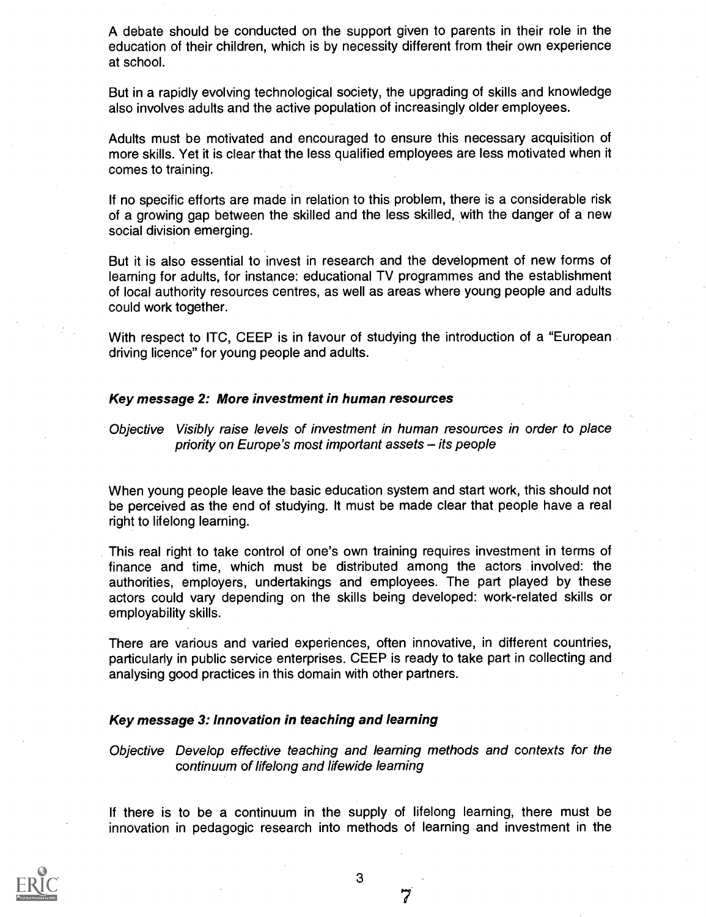A debate should be conducted on the support given to parents in their role in the education of their children, which is by necessity different from their own experience at school.

But in a rapidly evolving technological society, the upgrading of skills and knowledge also involves adults and the active population of increasingly older employees.

Adults must be motivated and encouraged to ensure this necessary acquisition of more skills. Yet it is clear that the less qualified employees are less motivated when it comes to training.

If no specific efforts are made in relation to this problem, there is a considerable risk of a growing gap between the skilled and the less skilled, with the danger of a new social division emerging.

But it is also essential to invest in research and the development of new forms of learning for adults, for instance: educational TV programmes and the establishment of local authority resources centres, as well as areas where young people and adults could work together.

With respect to ITC, CEEP is in favour of studying the introduction of a "European driving licence" for young people and adults.

#### Key message 2: More investment in human resources

Objective Visibly raise levels of investment in human resources in order to place priority on Europe's most important assets  $-$  its people

When young people leave the basic education system and start work, this should not be perceived as the end of studying. It must be made clear that people have a real right to lifelong learning.

This real right to take control of one's own training requires investment in terms of finance and time, which must be distributed among the actors involved: the authorities, employers, undertakings and employees. The part played by these actors could vary depending on the skills being developed: work-related skills or employability skills.

There are various and varied experiences, often innovative, in different countries, particularly in public service enterprises. CEEP is ready to take part in collecting and analysing good practices in this domain with other partners.

#### Key message 3: Innovation in teaching and learning

Objective Develop effective teaching and learning methods and contexts for the continuum of lifelong and lifewide learning

If there is to be a continuum in the supply of lifelong learning, there must be innovation in pedagogic research into methods of learning and investment in the

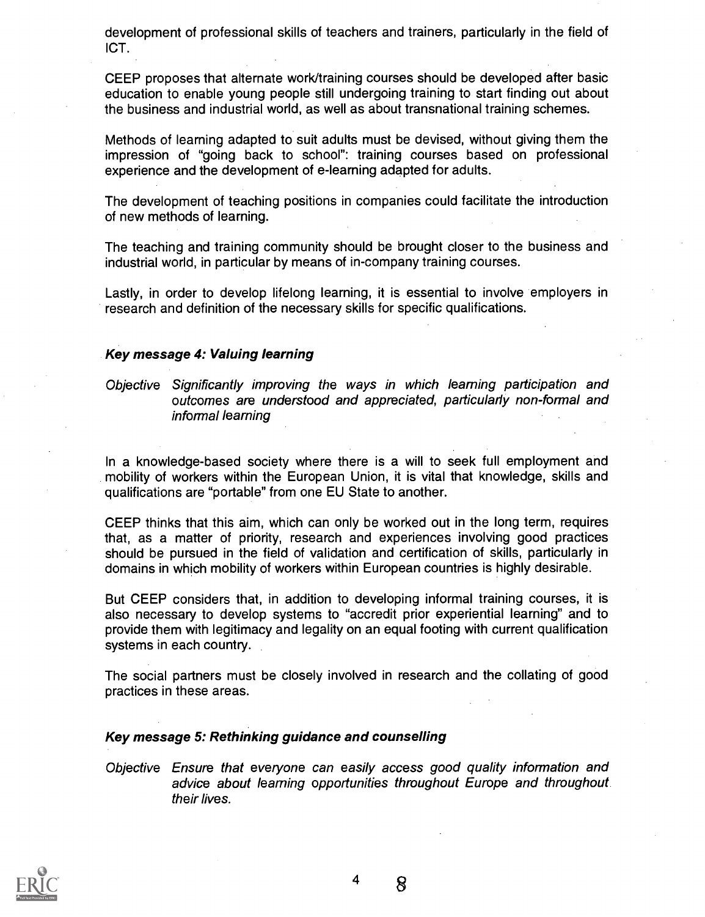development of professional skills of teachers and trainers, particularly in the field of ICT.

CEEP proposes that alternate work/training courses should be developed after basic education to enable young people still undergoing training to start finding out about the business and industrial world, as well as about transnational training schemes.

Methods of learning adapted to suit adults must be devised, without giving them the impression of "going back to school": training courses based on professional experience and the development of e-learning adapted for adults.

The development of teaching positions in companies could facilitate the introduction of new methods of learning.

The teaching and training community should be brought closer to the business and industrial world, in particular by means of in-company training courses.

Lastly, in order to develop lifelong learning, it is essential to involve employers in research and definition of the necessary skills for specific qualifications.

#### Key message 4: Valuing learning

Objective Significantly improving the ways in which learning participation and outcomes are understood and appreciated, particularly non-formal and informal learning

In a knowledge-based society where there is a will to seek full employment and mobility of workers within the European Union, it is vital that knowledge, skills and qualifications are "portable" from one EU State to another.

CEEP thinks that this aim, which can only be worked out in the long term, requires that, as a matter of priority, research and experiences involving good practices should be pursued in the field of validation and certification of skills, particularly in domains in which mobility of workers within European countries is highly desirable.

But CEEP considers that, in addition to developing informal training courses, it is also necessary to develop systems to "accredit prior experiential learning" and to provide them with legitimacy and legality on an equal footing with current qualification systems in each country.

The social partners must be closely involved in research and the collating of good practices in these areas.

#### Key message 5: Rethinking guidance and counselling

Objective Ensure that everyone can easily access good quality information and advice about learning opportunities throughout Europe and throughout their lives.



4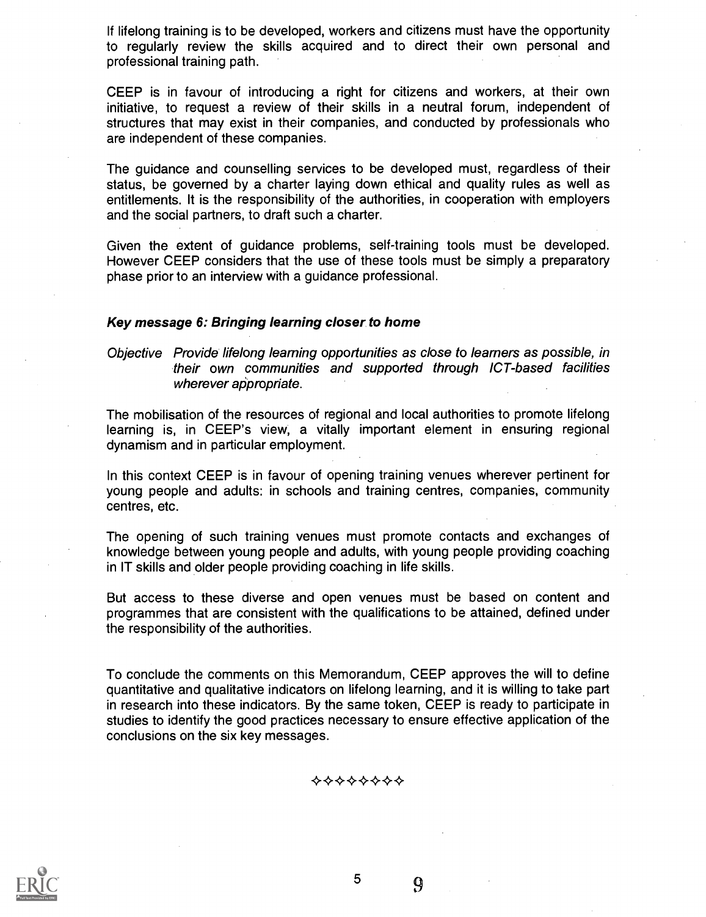If lifelong training is to be developed, workers and citizens must have the opportunity to regularly review the skills acquired and to direct their own personal and professional training path.

CEEP is in favour of introducing a right for citizens and workers, at their own initiative, to request a review of their skills in a neutral forum, independent of structures that may exist in their companies, and conducted by professionals who are independent of these companies.

The guidance and counselling services to be developed must, regardless of their status, be governed by a charter laying down ethical and quality rules as well as entitlements. It is the responsibility of the authorities, in cooperation with employers and the social partners, to draft such a charter.

Given the extent of guidance problems, self-training tools must be developed. However CEEP considers that the use of these tools must be simply a preparatory phase prior to an interview with a guidance professional.

#### Key message 6: Bringing learning closer to home

#### Objective Provide lifelong learning opportunities as close to learners as possible, in their own communities and supported through 1CT-based facilities wherever appropriate.

The mobilisation of the resources of regional and local authorities to promote lifelong learning is, in CEEP's view, a vitally important element in ensuring regional dynamism and in particular employment.

In this context CEEP is in favour of opening training venues wherever pertinent for young people and adults: in schools and training centres, companies, community centres, etc.

The opening of such training venues must promote contacts and exchanges of knowledge between young people and adults, with young people providing coaching in IT skills and older people providing coaching in life skills.

But access to these diverse and open venues must be based on content and programmes that are consistent with the qualifications to be attained, defined under the responsibility of the authorities.

To conclude the comments on this Memorandum, CEEP approves the will to define quantitative and qualitative indicators on lifelong learning, and it is willing to take part in research into these indicators. By the same token, CEEP is ready to participate in studies to identify the good practices necessary to ensure effective application of the conclusions on the six key messages.

\*\*\*\*\*\*\*\*



5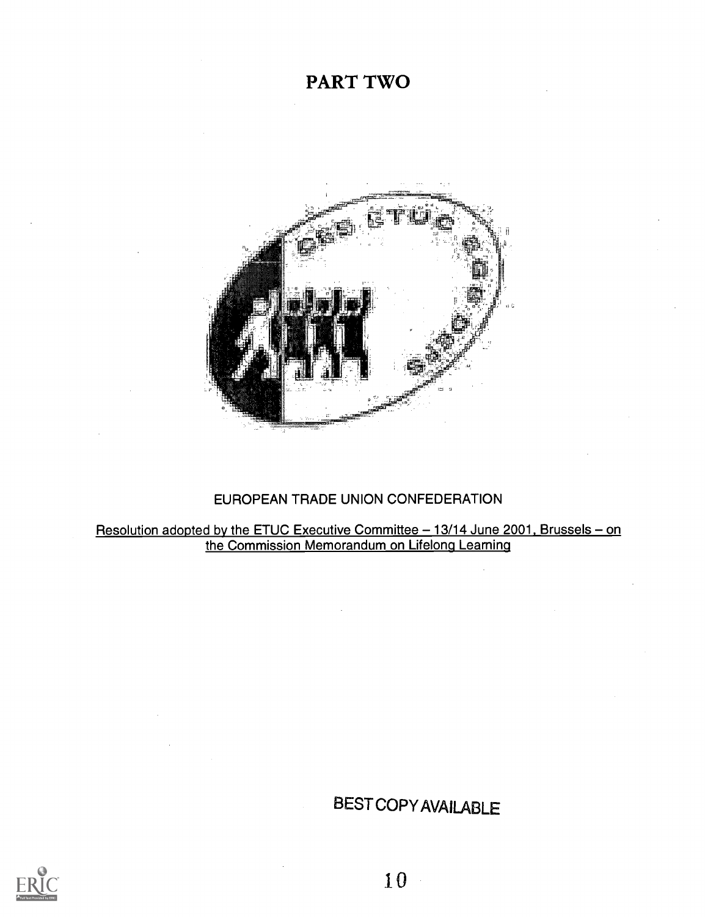## PART TWO



### EUROPEAN TRADE UNION CONFEDERATION

<u>Resolution adopted by the ETUC Executive Committee – 13/14 June 2001, Brussels – on</u> the Commission Memorandum on Lifelong Learning

## BEST COPY AVAILABLE

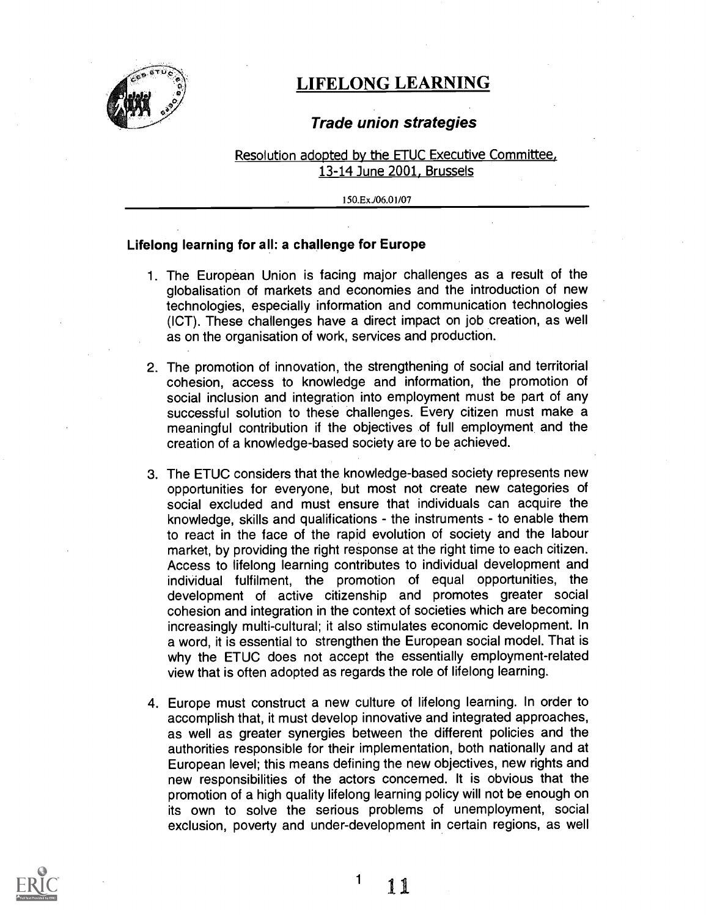

### LIFELONG LEARNING

### Trade union strategies

Resolution adopted by the ETUC Executive Committee, 13-14 June 2001, Brussels

150.ExJ06.01/07

#### Lifelong learning for all: a challenge for Europe

- 1. The European Union is facing major challenges as a result of the globalisation of markets and economies and the introduction of new technologies, especially information and communication technologies (ICT). These challenges have a direct impact on job creation, as well as on the organisation of work, services and production.
- 2. The promotion of innovation, the strengthening of social and territorial cohesion, access to knowledge and information, the promotion of social inclusion and integration into employment must be part of any successful solution to these challenges. Every citizen must make a meaningful contribution if the objectives of full employment and the creation of a knowledge-based society are to be achieved.
- 3. The ETUC considers that the knowledge-based society represents new opportunities for everyone, but most not create new categories of social excluded and must ensure that individuals can acquire the knowledge, skills and qualifications - the instruments - to enable them to react in the face of the rapid evolution of society and the labour market, by providing the right response at the right time to each citizen. Access to lifelong learning contributes to individual development and individual fulfilment, the promotion of equal opportunities, the development of active citizenship and promotes greater social cohesion and integration in the context of societies which are becoming increasingly multi-cultural; it also stimulates economic development. In a word, it is essential to strengthen the European social model. That is why the ETUC does not accept the essentially employment-related view that is often adopted as regards the role of lifelong learning.
- 4. Europe must construct a new culture of lifelong learning. In order to accomplish that, it must develop innovative and integrated approaches, as well as greater synergies between the different policies and the authorities responsible for their implementation, both nationally and at European level; this means defining the new objectives, new rights and new responsibilities of the actors concerned. It is obvious that the promotion of a high quality lifelong learning policy will not be enough on its own to solve the serious problems of unemployment, social exclusion, poverty and under-development in certain regions, as well

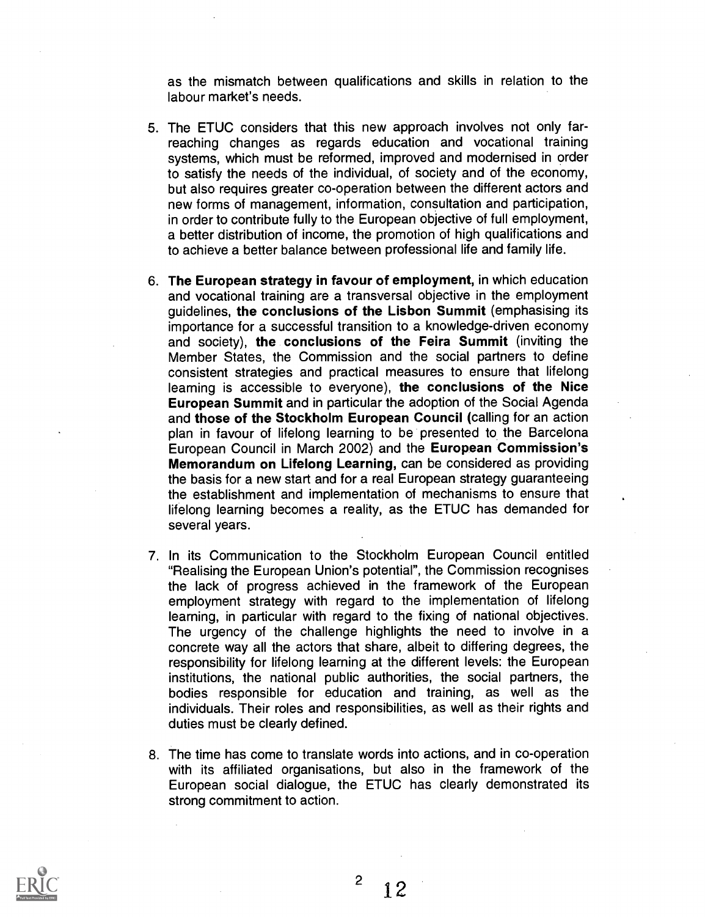as the mismatch between qualifications and skills in relation to the labour market's needs.

- 5. The ETUC considers that this new approach involves not only farreaching changes as regards education and vocational training systems, which must be reformed, improved and modernised in order to satisfy the needs of the individual, of society and of the economy, but also requires greater co-operation between the different actors and new forms of management, information, consultation and participation, in order to contribute fully to the European objective of full employment, a better distribution of income, the promotion of high qualifications and to achieve a better balance between professional life and family life.
- 6. The European strategy in favour of employment, in which education and vocational training are a transversal objective in the employment guidelines, the conclusions of the Lisbon Summit (emphasising its importance for a successful transition to a knowledge-driven economy and society), the conclusions of the Feira Summit (inviting the Member States, the Commission and the social partners to define consistent strategies and practical measures to ensure that lifelong learning is accessible to everyone), the conclusions of the Nice European Summit and in particular the adoption of the Social Agenda and those of the Stockholm European Council (calling for an action plan in favour of lifelong learning to be presented to the Barcelona European Council in March 2002) and the European Commission's Memorandum on Lifelong Learning, can be considered as providing the basis for a new start and for a real European strategy guaranteeing the establishment and implementation of mechanisms to ensure that lifelong learning becomes a reality, as the ETUC has demanded for several years.
- 7. In its Communication to the Stockholm European Council entitled "Realising the European Union's potential", the Commission recognises the lack of progress achieved in the framework of the European employment strategy with regard to the implementation of lifelong learning, in particular with regard to the fixing of national objectives. The urgency of the challenge highlights the need to involve in a concrete way all the actors that share, albeit to differing degrees, the responsibility for lifelong learning at the different levels: the European institutions, the national public authorities, the social partners, the bodies responsible for education and training, as well as the individuals. Their roles and responsibilities, as well as their rights and duties must be clearly defined.
- 8. The time has come to translate words into actions, and in co-operation with its affiliated organisations, but also in the framework of the European social dialogue, the ETUC has clearly demonstrated its strong commitment to action.

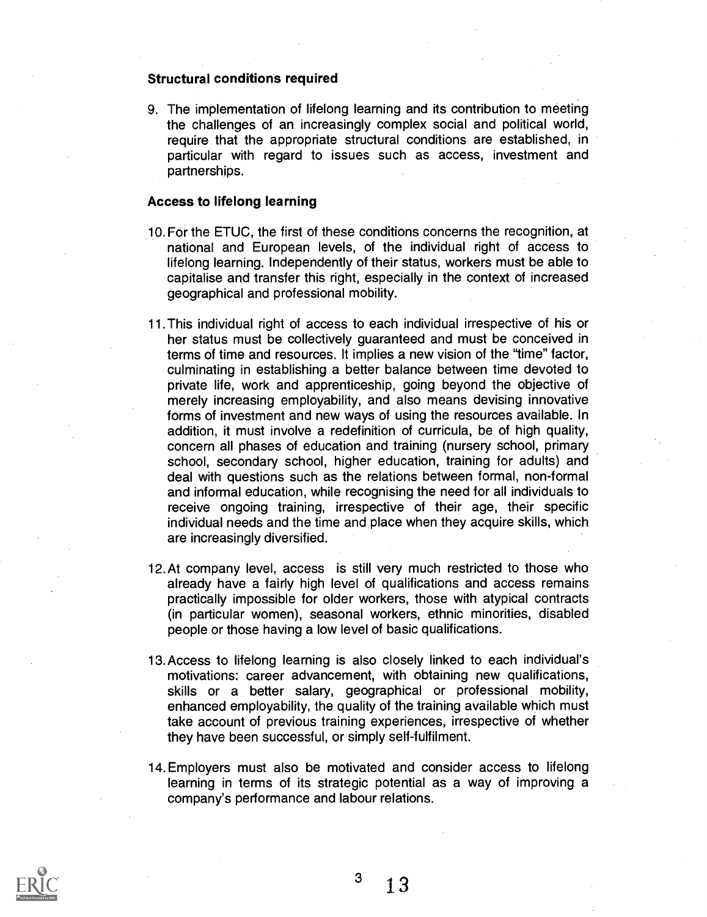#### Structural conditions required

9. The implementation of lifelong learning and its contribution to meeting the challenges of an, increasingly complex social and political world, require that the appropriate structural conditions are established, in particular with regard to issues such as access, investment and partnerships.

#### Access to lifelong learning

- 10.For the ETUC, the first of these conditions concerns the recognition, at national and European levels, of the individual right of access to lifelong learning. Independently of their status, workers must be able to capitalise and transfer this right, especially in the context of increased geographical and professional mobility.
- 11 This individual right of access to each individual irrespective of his or her status must be collectively guaranteed and must be conceived in terms of time and resources. It implies a new vision of the "time" factor, culminating in establishing a better balance between time devoted to private life, work and apprenticeship, going beyond the objective of merely increasing employability, and also means devising innovative forms of investment and new ways of using the resources available. In addition, it must involve a redefinition of curricula, be of high quality, concern all phases of education and training (nursery school, primary school, secondary school, higher education, training for adults) and deal with questions such as the relations between formal, non-formal and informal education, while recognising the need for all individuals to receive ongoing training, irrespective of their age, their specific individual needs and the time and place when they acquire skills, which are increasingly diversified.
- 12.At company level, access is still very much restricted to those who already have a fairly high level of qualifications and access remains practically impossible for older workers, those with atypical contracts (in particular women), seasonal workers, ethnic minorities, disabled people or those having a low level of basic qualifications.
- 13. Access to lifelong learning is also closely linked to each individual's motivations: career advancement, with obtaining new qualifications, skills or a better salary, geographical or professional mobility, enhanced employability, the quality of the training available which must take account of previous training experiences, irrespective of whether they have been successful, or simply self-fulfilment.
- 14. Employers must also be motivated and consider access to lifelong learning in terms of its strategic potential as a way of improving a company's performance and labour relations.

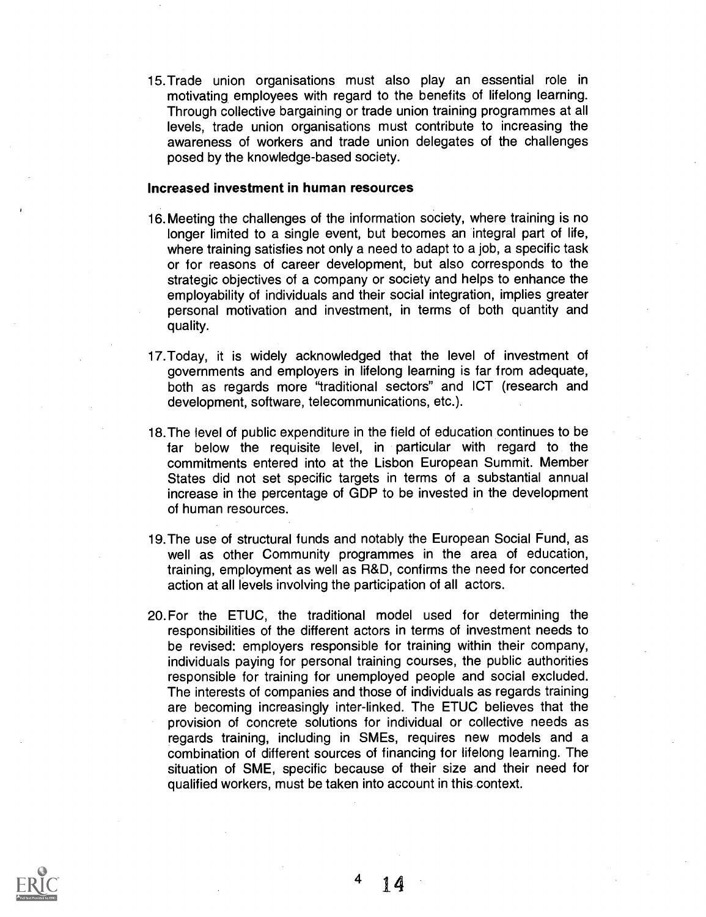15.Trade union organisations must also play an essential role in motivating employees with regard to the benefits of lifelong learning. Through collective bargaining or trade union training programmes at all levels, trade union organisations must contribute to increasing the awareness of workers and trade union delegates of the challenges posed by the knowledge-based society.

#### Increased investment in human resources

- 16. Meeting the challenges of the information society, where training is no longer limited to a single event, but becomes an integral part of life, where training satisfies not only a need to adapt to a job, a specific task or for reasons of career development, but also corresponds to the strategic objectives of a company or society and helps to enhance the employability of individuals and their social integration, implies greater personal motivation and investment, in terms of both quantity and quality.
- 17.Today, it is widely acknowledged that the level of investment of governments and employers in lifelong learning is far from adequate, both as regards more "traditional sectors" and ICT (research and development, software, telecommunications, etc.).
- 18.The level of public expenditure in the field of education continues to be far below the requisite level, in particular with regard to the commitments entered into at the Lisbon European Summit. Member States did not set specific targets in terms of a substantial annual increase in the percentage of GDP to be invested in the development of human resources.
- 19.The use of structural funds and notably the European Social Fund, as well as other Community programmes in the area of education, training, employment as well as R&D, confirms the need for concerted action at all levels involving the participation of all actors.
- 20.For the ETUC, the traditional model used for determining the responsibilities of the different actors in terms of investment needs to be revised: employers responsible for training within their company, individuals paying for personal training courses, the public authorities responsible for training for unemployed people and social excluded. The interests of companies and those of individuals as regards training are becoming increasingly inter-linked. The ETUC believes that the provision of concrete solutions for individual or collective needs as regards training, including in SMEs, requires new models and a combination of different sources of financing for lifelong learning. The situation of SME, specific because of their size and their need for qualified workers, must be taken into account in this context.

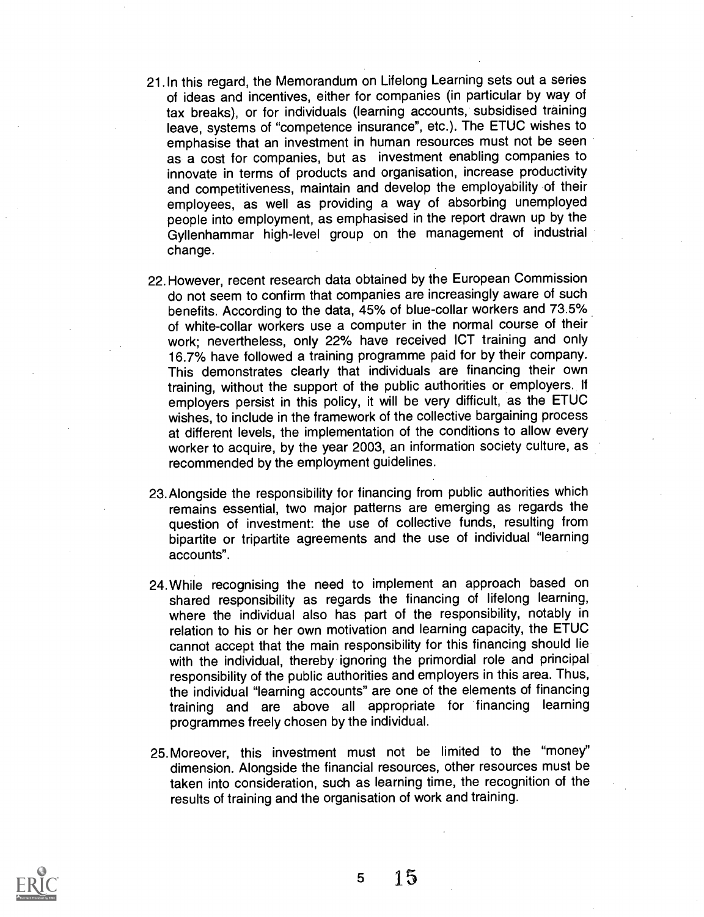- 21. In this regard, the Memorandum on Lifelong Learning sets out a series of ideas and incentives, either for companies (in particular by way of tax breaks), or for individuals (learning accounts, subsidised training leave, systems of "competence insurance", etc.). The ETUC wishes to emphasise that an investment in human resources must not be seen as a cost for companies, but as investment enabling companies to innovate in terms of products and organisation, increase productivity and competitiveness, maintain and develop the employability of their employees, as well as providing a way of absorbing unemployed people into employment, as emphasised in the report drawn up by the Gyllenhammar high-level group on the management of industrial change.
- 22. However, recent research data obtained by the European Commission do not seem to confirm that companies are increasingly aware of such benefits. According to the data, 45% of blue-collar workers and 73.5% of white-collar workers use a computer in the normal course of their work; nevertheless, only 22% have received ICT training and only 16.7% have followed a training programme paid for by their company. This demonstrates clearly that individuals are financing their own training, without the support of the public authorities or employers. If employers persist in this policy, it will be very difficult, as the ETUC wishes, to include in the framework of the collective bargaining process at different levels, the implementation of the conditions to allow every worker to acquire, by the year 2003, an information society culture, as recommended by the employment guidelines.
- 23. Alongside the responsibility for financing from public authorities which remains essential, two major patterns are emerging as regards the question of investment: the use of collective funds, resulting from bipartite or tripartite agreements and the use of individual "learning accounts".
- 24.While recognising the need to implement an approach based on shared responsibility as regards the financing of lifelong learning, where the individual also has part of the responsibility, notably in relation to his or her own motivation and learning capacity, the ETUC cannot accept that the main responsibility for this financing should lie with the individual, thereby ignoring the primordial role and principal responsibility of the public authorities and employers in this area. Thus, the individual "learning accounts" are one of the elements of financing training and are above all appropriate for financing learning programmes freely chosen by the individual.
- 25.Moreover, this investment must not be limited to the "money" dimension. Alongside the financial resources, other resources must be taken into consideration, such as learning time, the recognition of the results of training and the organisation of work and training.

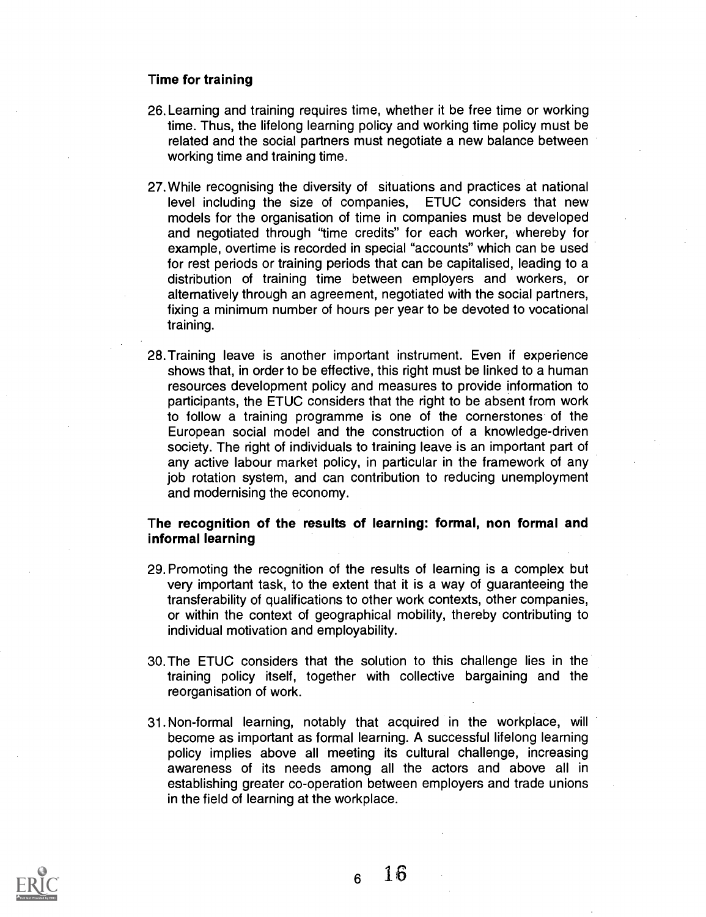#### Time for training

- 26. Learning and training requires time, whether it be free time or working time. Thus, the lifelong learning policy and working time policy must be related and the social partners must negotiate a new balance between working time and training time.
- 27. While recognising the diversity of situations and practices at national level including the size of companies. ETUC considers that new level including the size of companies. models for the organisation of time in companies must be developed and negotiated through "time credits" for each worker, whereby for example, overtime is recorded in special "accounts" which can be used for rest periods or training periods that can be capitalised, leading to a distribution of training time between employers and workers, or alternatively through an agreement, negotiated with the social partners, fixing a minimum number of hours per year to be devoted to vocational training.
- 28.Training leave is another important instrument. Even if experience shows that, in order to be effective, this right must be linked to a human resources development policy and measures to provide information to participants, the ETUC considers that the right to be absent from work to follow a training programme is one of the cornerstones of the European social model and the construction of a knowledge-driven society. The right of individuals to training leave is an important part of any active labour market policy, in particular in the framework of any job rotation system, and can contribution to reducing unemployment and modernising the economy.

#### The recognition of the results of learning: formal, non formal and informal learning

- 29. Promoting the recognition of the results of learning is a complex but very important task, to the extent that it is a way of guaranteeing the transferability of qualifications to other work contexts, other companies, or within the context of geographical mobility, thereby contributing to individual motivation and employability.
- 30.The ETUC considers that the solution to this challenge lies in the training policy itself, together with collective bargaining and the reorganisation of work.
- 31.Non-formal learning, notably that acquired in the workplace, will become as important as formal learning. A successful lifelong learning policy implies above all meeting its cultural challenge, increasing awareness of its needs among all the actors and above all in establishing greater co-operation between employers and trade unions in the field of learning at the workplace.

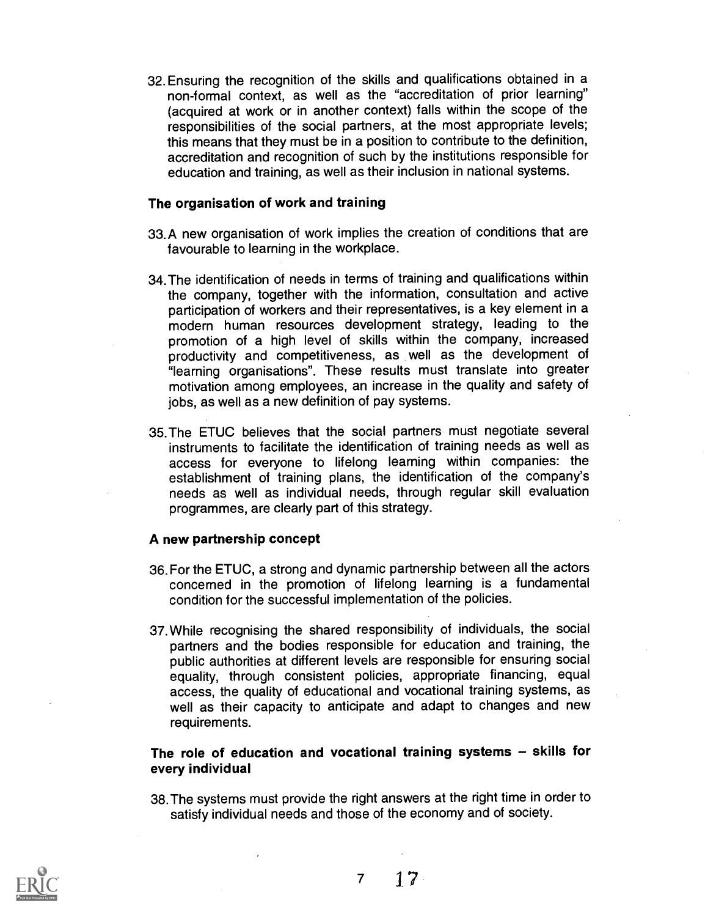32. Ensuring the recognition of the skills and qualifications obtained in a non-formal context, as well as the "accreditation of prior learning" (acquired at work or in another context) falls within the scope of the responsibilities of the social partners, at the most appropriate levels; this means that they must be in a position to contribute to the definition, accreditation and recognition of such by the institutions responsible for education and training, as well as their inclusion in national systems.

#### The organisation of work and training

- 33.A new organisation of work implies the creation of conditions that are favourable to learning in the workplace.
- 34. The identification of needs in terms of training and qualifications within the company, together with the information, consultation and active participation of workers and their representatives, is a key element in a modern human resources development strategy, leading to the promotion of a high level of skills within the company, increased productivity and competitiveness, as well as the development of "learning organisations". These results must translate into greater motivation among employees, an increase in the quality and safety of jobs, as well as a new definition of pay systems.
- 35.The ETUC believes that the social partners must negotiate several instruments to facilitate the identification of training needs as well as access for everyone to lifelong learning within companies: the establishment of training plans, the identification of the company's needs as well as individual needs, through regular skill evaluation programmes, are clearly part of this strategy.

#### A new partnership concept

- 36. For the ETUC, a strong and dynamic partnership between all the actors concerned in the promotion of lifelong learning is a fundamental condition for the successful implementation of the policies.
- 37.While recognising the shared responsibility of individuals, the social partners and the bodies responsible for education and training, the public authorities at different levels are responsible for ensuring social equality, through consistent policies, appropriate financing, equal access, the quality of educational and vocational training systems, as well as their capacity to anticipate and adapt to changes and new requirements.

#### The role of education and vocational training systems - skills for every individual

38. The systems must provide the right answers at the right time in order to satisfy individual needs and those of the economy and of society.

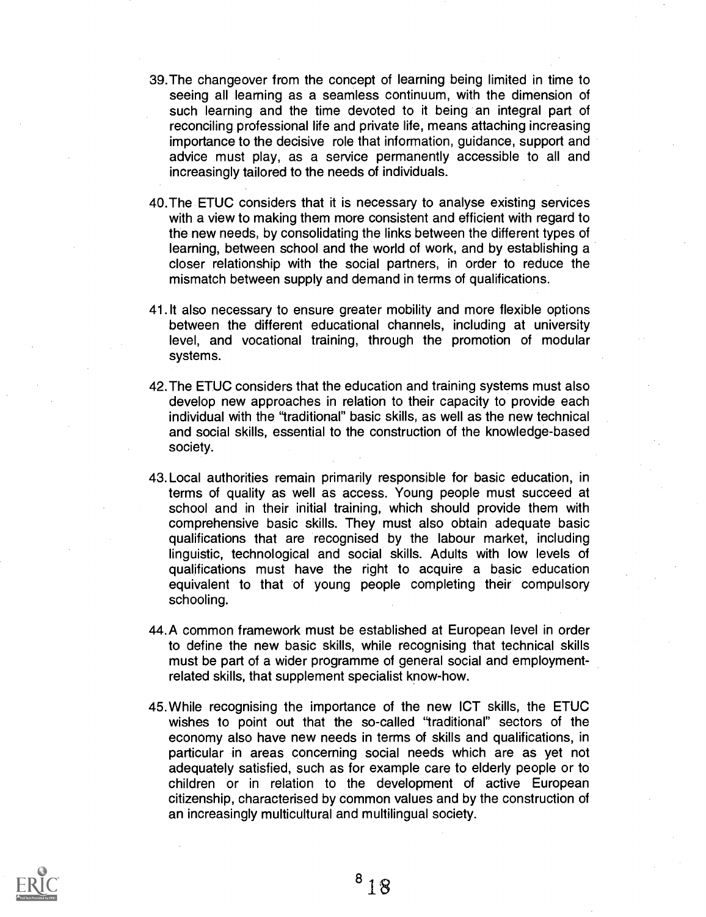- 39.The changeover from the concept of learning being limited in time to seeing all learning as a seamless continuum, with the dimension of such learning and the time devoted to it being an integral part of reconciling professional life and private life, means attaching increasing importance to the decisive role that information, guidance, support and advice must play, as a service permanently accessible to all and increasingly tailored to the needs of individuals.
- 40.The ETUC considers that it is necessary to analyse existing services with a view to making them more consistent and efficient with regard to the new needs, by consolidating the links between the different types of learning, between school and the world of work, and by establishing a closer relationship with the social partners, in order to reduce the mismatch between supply and demand in terms of qualifications.
- 41.1t also necessary to ensure greater mobility and more flexible options between the different educational channels, including at university level, and vocational training, through the promotion of modular systems.
- 42.The ETUC considers that the education and training systems must also develop new approaches in relation to their capacity to provide each individual with the "traditional" basic skills, as well as the new technical and social skills, essential to the construction of the knowledge-based society.
- 43. Local authorities remain primarily responsible for basic education, in terms of quality as well as access. Young people must succeed at school and in their initial training, which should provide them with comprehensive basic skills. They must also obtain adequate basic qualifications that are recognised by the labour market, including linguistic, technological and social skills. Adults with low levels of qualifications must have the right to acquire a basic education equivalent to that of young people completing their compulsory schooling.
- 44.A common framework must be established at European level in order to define the new basic skills, while recognising that technical skills must be part of a wider programme of general social and employmentrelated skills, that supplement specialist know-how.
- 45.While recognising the importance of the new ICT skills, the ETUC wishes to point out that the so-called "traditional" sectors of the economy also have new needs in terms of skills and qualifications, in particular in areas concerning social needs which are as yet not adequately satisfied, such as for example care to elderly people or to children or in relation to the development of active European citizenship, characterised by common values and by the construction of an increasingly multicultural and multilingual society.

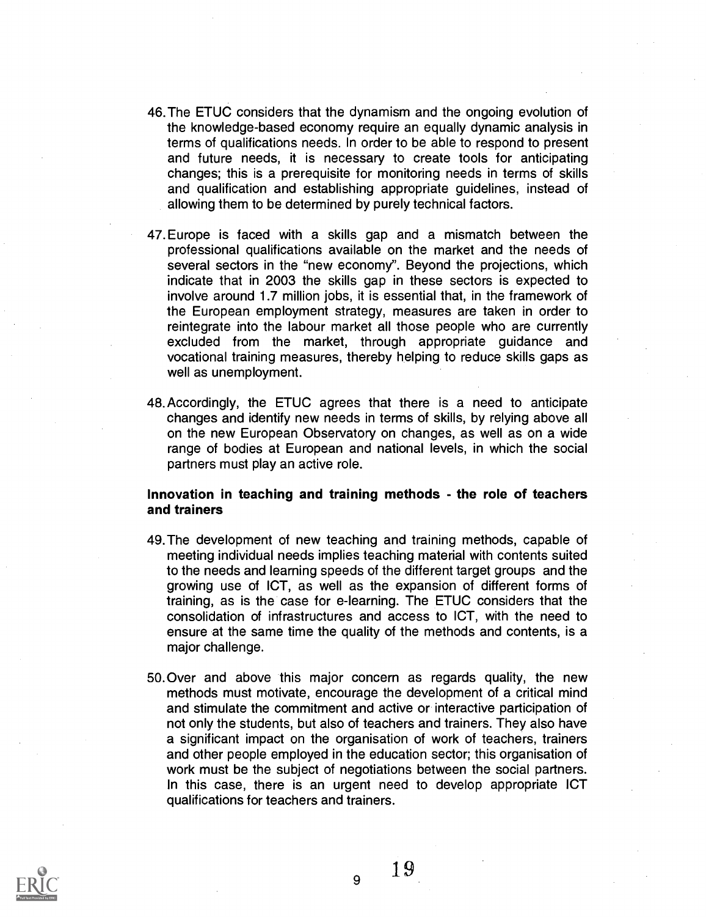- 46. The ETUC considers that the dynamism and the ongoing evolution of the knowledge-based economy require an equally dynamic analysis in terms of qualifications needs. In order to be able to respond to present and future needs, it is necessary to create tools for anticipating changes; this is a prerequisite for monitoring needs in terms of skills and qualification and establishing appropriate guidelines, instead of allowing them to be determined by purely technical factors.
- 47.Europe is faced with a skills gap and a mismatch between the professional qualifications available on the market and the needs of several sectors in the "new economy". Beyond the projections, which indicate that in 2003 the skills gap in these sectors is expected to involve around 1.7 million jobs, it is essential that, in the framework of the European employment strategy, measures are taken in order to reintegrate into the labour market all those people who are currently excluded from the market, through appropriate guidance and vocational training measures, thereby helping to reduce skills gaps as well as unemployment.
- 48. Accordingly, the ETUC agrees that there is a need to anticipate changes and identify new needs in terms of skills, by relying above all on the new European Observatory on changes, as well as on a wide range of bodies at European and national levels, in which the social partners must play an active role.

#### Innovation in teaching and training methods - the role of teachers and trainers

- 49.The development of new teaching and training methods, capable of meeting individual needs implies teaching material with contents suited to the needs and learning speeds of the different target groups and the growing use of ICT, as well as the expansion of different forms of training, as is the case for e-learning. The ETUC considers that the consolidation of infrastructures and access to ICT, with the need to ensure at the same time the quality of the methods and contents, is a major challenge.
- 50.Over and above this major concern as regards quality, the new methods must motivate, encourage the development of a critical mind and stimulate the commitment and active or interactive participation of not only the students, but also of teachers and trainers. They also have a significant impact on the organisation of work of teachers, trainers and other people employed in the education sector; this organisation of work must be the subject of negotiations between the social partners. In this case, there is an urgent need to develop appropriate ICT qualifications for teachers and trainers.

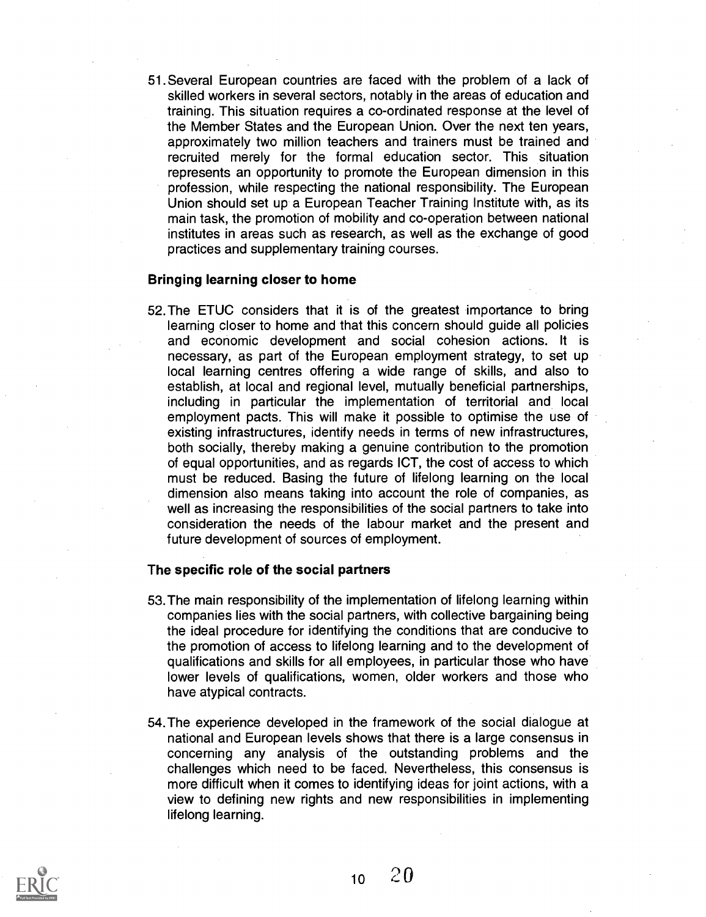51. Several European countries are faced with the problem of a lack of skilled workers in several sectors, notably in the areas of education and training. This situation requires a co-ordinated response at the level of the Member States and the European Union. Over the next ten years, approximately two million teachers and trainers must be trained and recruited merely for the formal education sector. This situation represents an opportunity to promote the European dimension in this profession, while respecting the national responsibility. The European Union should set up a European Teacher Training Institute with, as its main task, the promotion of mobility and co-operation between national institutes in areas such as research, as well as the exchange of good practices and supplementary training courses.

#### Bringing learning closer to home

52.The ETUC considers that it is of the greatest importance to bring learning closer to home and that this concern should guide all policies and economic development and social cohesion actions. It is necessary, as part of the European employment strategy, to set up local learning centres offering a wide range of skills, and also to establish, at local and regional level, mutually beneficial partnerships, including in particular the implementation of territorial and local employment pacts. This will make it possible to optimise the use of existing infrastructures, identify needs in terms of new infrastructures, both socially, thereby making a genuine contribution to the promotion of equal opportunities, and as regards ICT, the cost of access to which must be reduced. Basing the future of lifelong learning on the local dimension also means taking into account the role of companies, as well as increasing the responsibilities of the social partners to take into consideration the needs of the labour market and the present and future development of sources of employment.

#### The specific role of the social partners

- 53. The main responsibility of the implementation of lifelong learning within companies lies with the social partners, with collective bargaining being the ideal procedure for identifying the conditions that are conducive to the promotion of access to lifelong learning and to the development of qualifications and skills for all employees, in particular those who have lower levels of qualifications, women, older workers and those who have atypical contracts.
- 54.The experience developed in the framework of the social dialogue at national and European levels shows that there is a large consensus in concerning any analysis of the outstanding problems and the challenges which need to be faced. Nevertheless, this consensus is more difficult when it comes to identifying ideas for joint actions, with a view to defining new rights and new responsibilities in implementing lifelong learning.

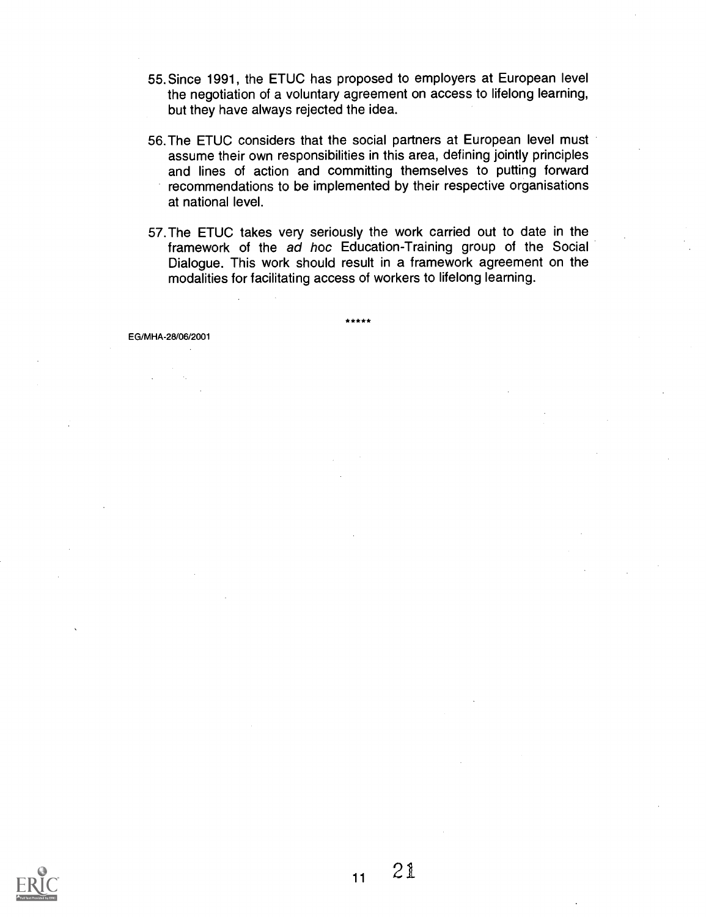- 55. Since 1991, the ETUC has proposed to employers at European level the negotiation of a voluntary agreement on access to lifelong learning, but they have always rejected the idea.
- 56. The ETUC considers that the social partners at European level must assume their own responsibilities in this area, defining jointly principles and lines of action and committing themselves to putting forward recommendations to be implemented by their respective organisations at national level.
- 57.The ETUC takes very seriously the work carried out to date in the framework of the ad hoc Education-Training group of the Social Dialogue. This work should result in a framework agreement on the modalities for facilitating access of workers to lifelong learning.

EG/MHA-28/06/2001

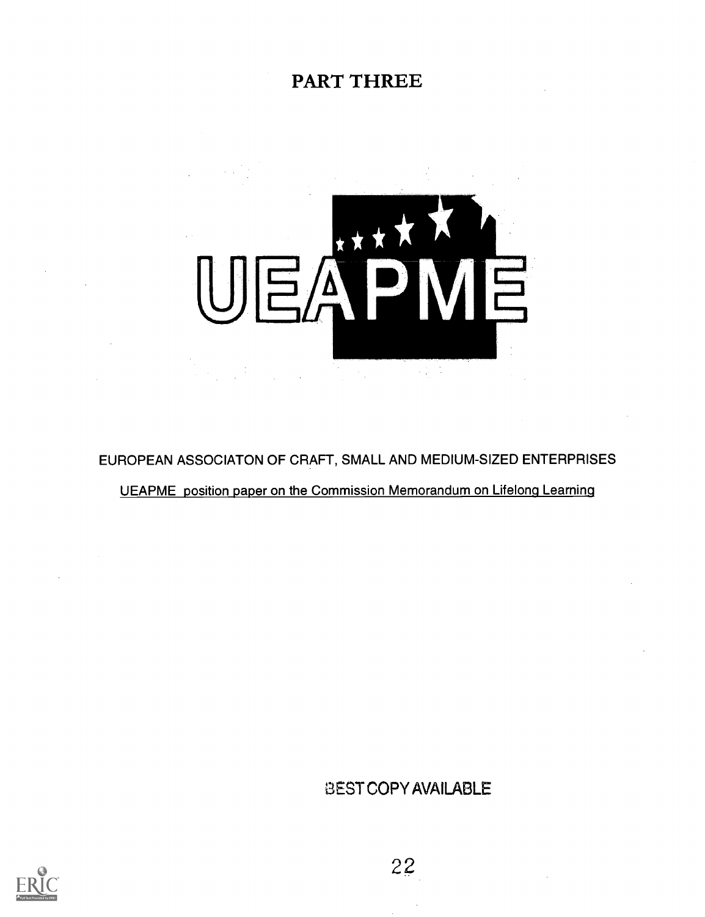## PART THREE



EUROPEAN ASSOCIATON OF CRAFT, SMALL AND MEDIUM-SIZED ENTERPRISES

UEAPME position paper on the Commission Memorandum on Lifelong Learning

BEST COPY AVAILABLE

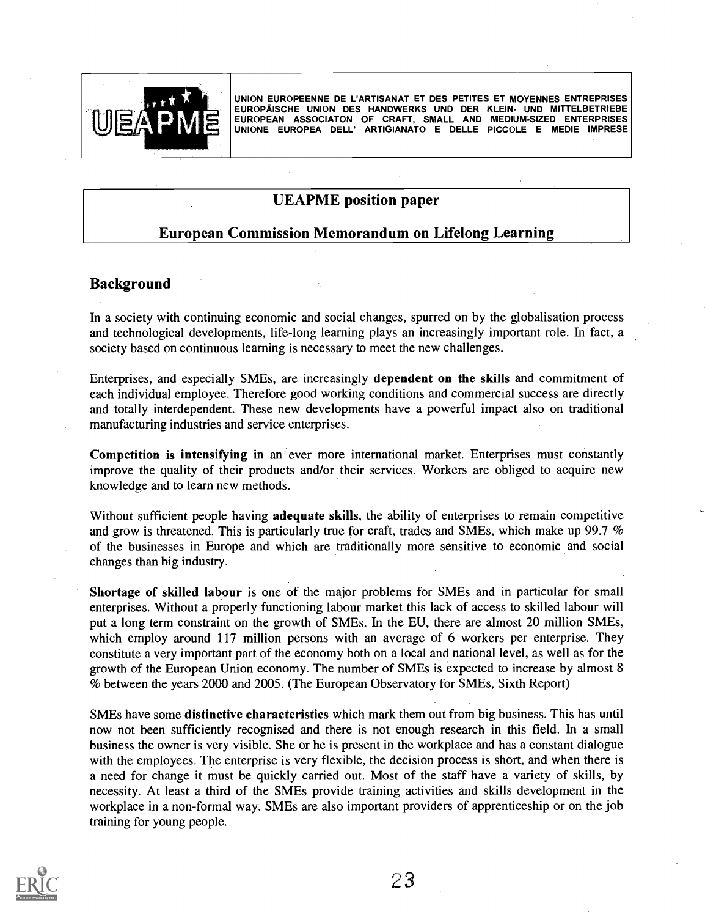

UNION EUROPEENNE DE L'ARTISANAT ET DES PETITES ET MOYENNES ENTREPRISES EUROPAISCHE UNION DES HANDWERKS UND DER KLEIN- UND MITTELBETRIEBE EUROPEAN ASSOCIATON OF CRAFT, SMALL AND MEDIUM-SIZED ENTERPRISES UNIONE EUROPEA DELL' ARTIGIANATO E DELLE PICCOLE E MEDIE IMPRESE

#### UEAPME position paper

#### European Commission Memorandum on Lifelong Learning

#### Background

In a society with continuing economic and social changes, spurred on by the globalisation process and technological developments, life-long learning plays an increasingly important role. In fact, a society based on continuous learning is necessary to meet the new challenges.

Enterprises, and especially SMEs, are increasingly dependent on the skills and commitment of each individual employee. Therefore good working conditions and commercial success are directly and totally interdependent. These new developments have a powerful impact also on traditional manufacturing industries and service enterprises.

Competition is intensifying in an ever more international market. Enterprises must constantly improve the quality of their products and/or their services. Workers are obliged to acquire new knowledge and to learn new methods.

Without sufficient people having **adequate skills**, the ability of enterprises to remain competitive and grow is threatened. This is particularly true for craft, trades and SMEs, which make up 99.7 % of the businesses in Europe and which are traditionally more sensitive to economic and social changes than big industry.

Shortage of skilled labour is one of the major problems for SMEs and in particular for small enterprises. Without a properly functioning labour market this lack of access to skilled labour will put a long term constraint on the growth of SMEs. In the EU, there are almost 20 million SMEs, which employ around 117 million persons with an average of 6 workers per enterprise. They constitute a very important part of the economy both on a local and national level, as well as for the growth of the European Union economy. The number of SMEs is expected to increase by almost 8 % between the years 2000 and 2005. (The European Observatory for SMEs, Sixth Report)

SMEs have some distinctive characteristics which mark them out from big business. This has until now not been sufficiently recognised and there is not enough research in this field. In a small business the owner is very visible. She or he is present in the workplace and has a constant dialogue with the employees. The enterprise is very flexible, the decision process is short, and when there is a need for change it must be quickly carried out. Most of the staff have a variety of skills, by necessity. At least a third of the SMEs provide training activities and skills development in the workplace in a non-formal way. SMEs are also important providers of apprenticeship or on the job training for young people.

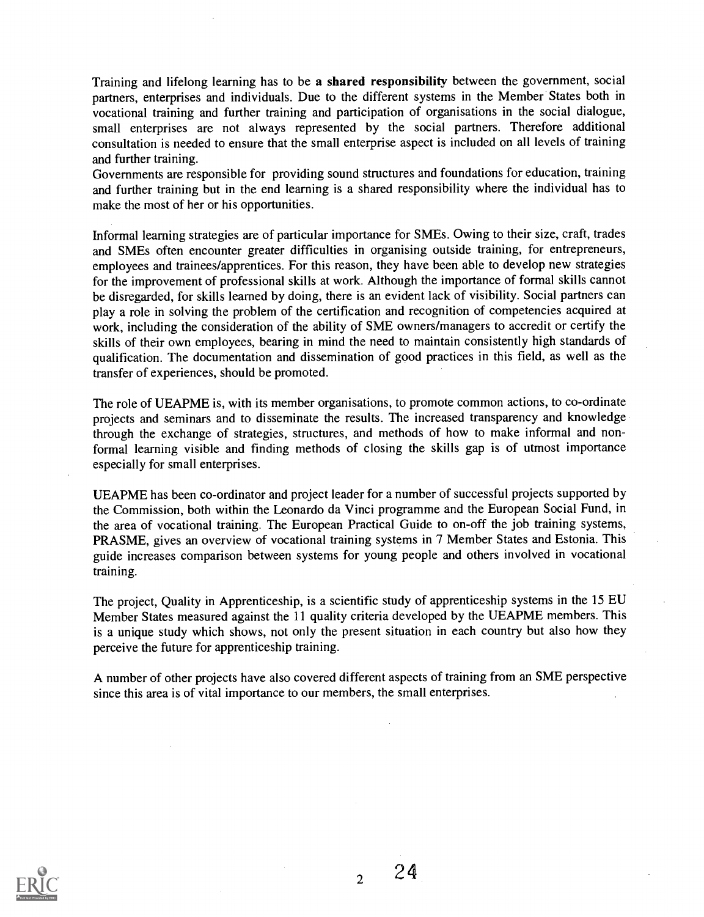Training and lifelong learning has to be a shared responsibility between the government, social partners, enterprises and individuals. Due to the different systems in the Member States both in vocational training and further training and participation of organisations in the social dialogue, small enterprises are not always represented by the social partners. Therefore additional consultation is needed to ensure that the small enterprise aspect is included on all levels of training and further training.

Governments are responsible for providing sound structures and foundations for education, training and further training but in the end learning is a shared responsibility where the individual has to make the most of her or his opportunities.

Informal learning strategies are of particular importance for SMEs. Owing to their size, craft, trades and SMEs often encounter greater difficulties in organising outside training, for entrepreneurs, employees and trainees/apprentices. For this reason, they have been able to develop new strategies for the improvement of professional skills at work. Although the importance of formal skills cannot be disregarded, for skills learned by doing, there is an evident lack of visibility. Social partners can play a role in solving the problem of the certification and recognition of competencies acquired at work, including the consideration of the ability of SME owners/managers to accredit or certify the skills of their own employees, bearing in mind the need to maintain consistently high standards of qualification. The documentation and dissemination of good practices in this field, as well as the transfer of experiences, should be promoted.

The role of UEAPME is, with its member organisations, to promote common actions, to co-ordinate projects and seminars and to disseminate the results. The increased transparency and knowledge through the exchange of strategies, structures, and methods of how to make informal and nonformal learning visible and finding methods of closing the skills gap is of utmost importance especially for small enterprises.

UEAPME has been co-ordinator and project leader for a number of successful projects supported by the Commission, both within the Leonardo da Vinci programme and the European Social Fund, in the area of vocational training. The European Practical Guide to on-off the job training systems, PRASME, gives an overview of vocational training systems in 7 Member States and Estonia. This guide increases comparison between systems for young people and others involved in vocational training.

The project, Quality in Apprenticeship, is a scientific study of apprenticeship systems in the 15 EU Member States measured against the 11 quality criteria developed by the UEAPME members. This is a unique study which shows, not only the present situation in each country but also how they perceive the future for apprenticeship training.

A number of other projects have also covered different aspects of training from an SME perspective since this area is of vital importance to our members, the small enterprises.



 $2^2$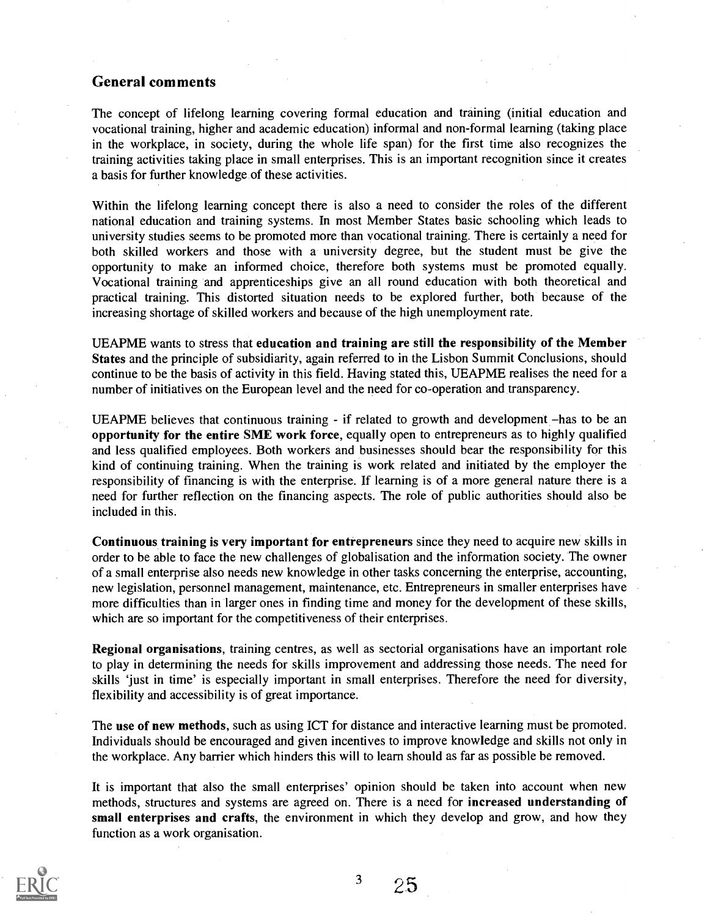#### General comments

The concept of lifelong learning covering formal education and training (initial education and vocational training, higher and academic education) informal and non-formal learning (taking place in the workplace, in society, during the whole life span) for the first time also recognizes the training activities taking place in small enterprises. This is an important recognition since it creates a basis for further knowledge of these activities.

Within the lifelong learning concept there is also a need to consider the roles of the different national education and training systems. In most Member States basic schooling which leads to university studies seems to be promoted more than vocational training. There is certainly a need for both skilled workers and those with a university degree, but the student must be give the opportunity to make an informed choice, therefore both systems must be promoted equally. Vocational training and apprenticeships give an all round education with both theoretical and practical training. This distorted situation needs to be explored further, both because of the increasing shortage of skilled workers and because of the high unemployment rate.

UEAPME wants to stress that education and training are still the responsibility of the Member States and the principle of subsidiarity, again referred to in the Lisbon Summit Conclusions, should continue to be the basis of activity in this field. Having stated this, UEAPME realises the need for a number of initiatives on the European level and the need for co-operation and transparency.

UEAPME believes that continuous training - if related to growth and development – has to be an opportunity for the entire SME work force, equally open to entrepreneurs as to highly qualified and less qualified employees. Both workers and businesses should bear the responsibility for this kind of continuing training. When the training is work related and initiated by the employer the responsibility of financing is with the enterprise. If learning is of a more general nature there is a need for further reflection on the financing aspects. The role of public authorities should also be included in this.

Continuous training is very important for entrepreneurs since they need to acquire new skills in order to be able to face the new challenges of globalisation and the information society. The owner of a small enterprise also needs new knowledge in other tasks concerning the enterprise, accounting, new legislation, personnel management, maintenance, etc. Entrepreneurs in smaller enterprises have more difficulties than in larger ones in finding time and money for the development of these skills, which are so important for the competitiveness of their enterprises.

Regional organisations, training centres, as well as sectorial organisations have an important role to play in determining the needs for skills improvement and addressing those needs. The need for skills 'just in time' is especially important in small enterprises. Therefore the need for diversity, flexibility and accessibility is of great importance.

The use of new methods, such as using ICT for distance and interactive learning must be promoted. Individuals should be encouraged and given incentives to improve knowledge and skills not only in the workplace. Any barrier which hinders this will to learn should as far as possible be removed.

It is important that also the small enterprises' opinion should be taken into account when new methods, structures and systems are agreed on. There is a need for increased understanding of small enterprises and crafts, the environment in which they develop and grow, and how they function as a work organisation.

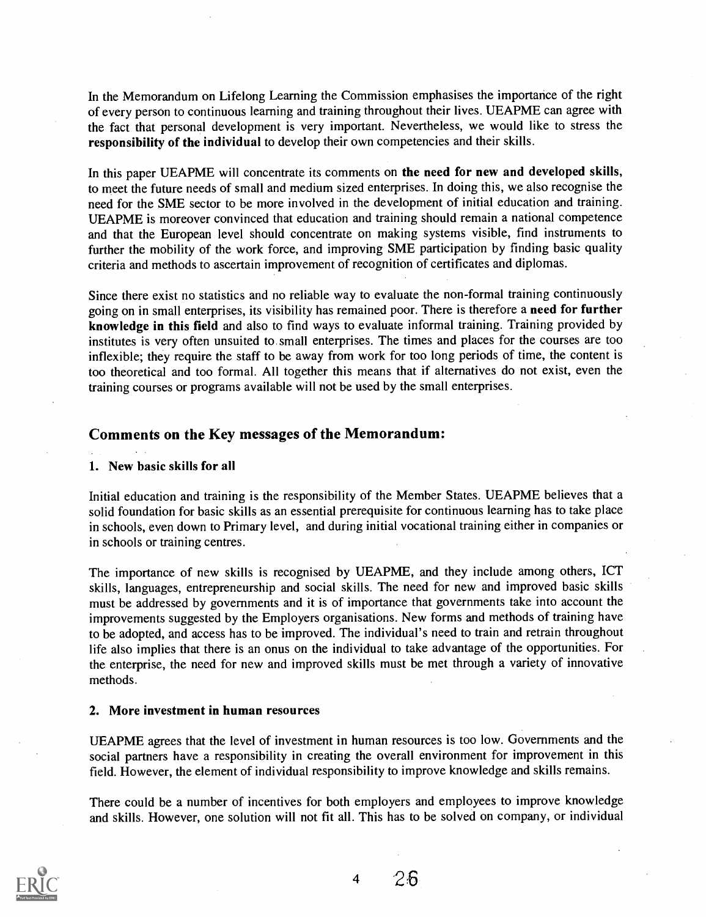In the Memorandum on Lifelong Learning the Commission emphasises the importance of the right of every person to continuous learning and training throughout their lives. UEAPME can agree with the fact that personal development is very important. Nevertheless, we would like to stress the responsibility of the individual to develop their own competencies and their skills.

In this paper UEAPME will concentrate its comments on the need for new and developed skills, to meet the future needs of small and medium sized enterprises. In doing this, we also recognise the need for the SME sector to be more involved in the development of initial education and training. UEAPME is moreover convinced that education and training should remain a national competence and that the European level should concentrate on making systems visible, find instruments to further the mobility of the work force, and improving SME participation by finding basic quality criteria and methods to ascertain improvement of recognition of certificates and diplomas.

Since there exist no statistics and no reliable way to evaluate the non-formal training continuously going on in small enterprises, its visibility has remained poor. There is therefore a need for further knowledge in this field and also to find ways to evaluate informal training. Training provided by institutes is very often unsuited to small enterprises. The times and places for the courses are too inflexible; they require the staff to be away from work for too long periods of time, the content is too theoretical and too formal. All together this means that if alternatives do not exist, even the training courses or programs available will not be used by the small enterprises.

#### Comments on the Key messages of the Memorandum:

#### 1. New basic skills for all

Initial education and training is the responsibility of the Member States. UEAPME believes that a solid foundation for basic skills as an essential prerequisite for continuous learning has to take place in schools, even down to Primary level, and during initial vocational training either in companies or in schools or training centres.

The importance of new skills is recognised by UEAPME, and they include among others, ICT skills, languages, entrepreneurship and social skills. The need for new and improved basic skills must be addressed by governments and it is of importance that governments take into account the improvements suggested by the Employers organisations. New forms and methods of training have to be adopted, and access has to be improved. The individual's need to train and retrain throughout life also implies that there is an onus on the individual to take advantage of the opportunities. For the enterprise, the need for new and improved skills must be met through a variety of innovative methods.

#### 2. More investment in human resources

UEAPME agrees that the level of investment in human resources is too low. Governments and the social partners have a responsibility in creating the overall environment for improvement in this field. However, the element of individual responsibility to improve knowledge and skills remains.

There could be a number of incentives for both employers and employees to improve knowledge and skills. However, one solution will not fit all. This has to be solved on company, or individual



4 26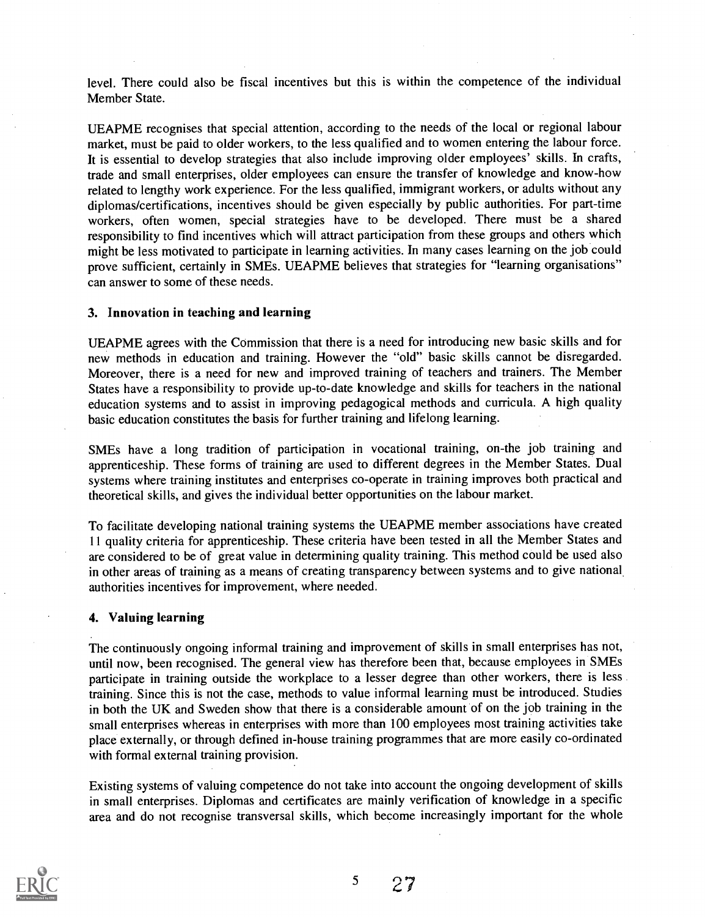level. There could also be fiscal incentives but this is within the competence of the individual Member State.

UEAPME recognises that special attention, according to the needs of the local or regional labour market, must be paid to older workers, to the less qualified and to women entering the labour force. It is essential to develop strategies that also include improving older employees' skills. In crafts, trade and small enterprises, older employees can ensure the transfer of knowledge and know-how related to lengthy work experience. For the less qualified, immigrant workers, or adults without any diplomas/certifications, incentives should be given especially by public authorities. For part-time workers, often women, special strategies have to be developed. There must be a shared responsibility to find incentives which will attract participation from these groups and others which might be less motivated to participate in learning activities. In many cases learning on the job could prove sufficient, certainly in SMEs. UEAPME believes that strategies for "learning organisations" can answer to some of these needs.

#### 3. Innovation in teaching and learning

UEAPME agrees with the Commission that there is a need for introducing new basic skills and for new methods in education and training. However the "old" basic skills cannot be disregarded. Moreover, there is a need for new and improved training of teachers and trainers. The Member States have a responsibility to provide up-to-date knowledge and skills for teachers in the national education systems and to assist in improving pedagogical methods and curricula. A high quality basic education constitutes the basis for further training and lifelong learning.

SMEs have a long tradition of participation in vocational training, on-the job training and apprenticeship. These forms of training are used to different degrees in the Member States. Dual systems where training institutes and enterprises co-operate in training improves both practical and theoretical skills, and gives the individual better opportunities on the labour market.

To facilitate developing national training systems the UEAPME member associations have created 11 quality criteria for apprenticeship. These criteria have been tested in all the Member States and are considered to be of great value in determining quality training. This method could be used also in other areas of training as a means of creating transparency between systems and to give national authorities incentives for improvement, where needed.

#### 4. Valuing learning

The continuously ongoing informal training and improvement of skills in small enterprises has not, until now, been recognised. The general view has therefore been that, because employees in SMEs participate in training outside the workplace to a lesser degree than other workers, there is less training. Since this is not the case, methods to value informal learning must be introduced. Studies in both the UK and Sweden show that there is a considerable amount of on the job training in the small enterprises whereas in enterprises with more than 100 employees most training activities take place externally, or through defined in-house training programmes that are more easily co-ordinated with formal external training provision.

Existing systems of valuing competence do not take into account the ongoing development of skills in small enterprises. Diplomas and certificates are mainly verification of knowledge in a specific area and do not recognise transversal skills, which become increasingly important for the whole

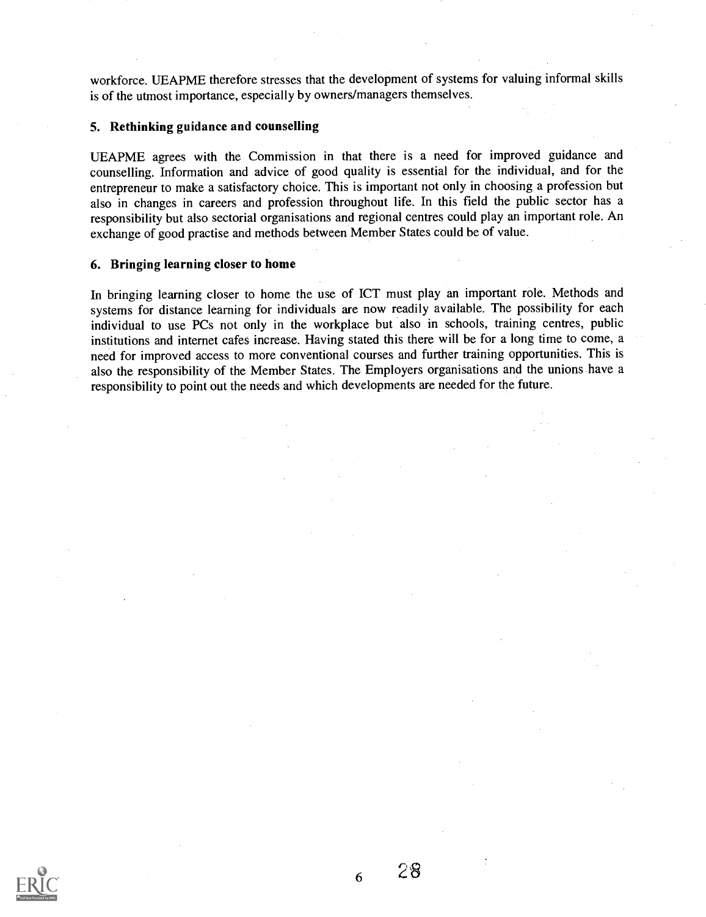workforce. UEAPME therefore stresses that the development of systems for valuing informal skills is of the utmost importance, especially by owners/managers themselves.

#### 5. Rethinking guidance and counselling

UEAPME agrees with the Commission in that there is a need for improved guidance and counselling. Information and advice of good quality is essential for the individual, and for the entrepreneur to make a satisfactory choice. This is important not only in choosing a profession but also in changes in careers and profession throughout life. In this field the public sector has a responsibility but also sectorial organisations and regional centres could play an important role. An exchange of good practise and methods between Member States could be of value.

#### 6. Bringing learning closer to home

In bringing learning closer to home the use of ICT must play an important role. Methods and systems for distance learning for individuals are now readily available. The possibility for each individual to use PCs not only in the workplace but also in schools, training centres, public institutions and internet cafes increase. Having stated this there will be for a long time to come, a need for improved access to more conventional courses and further training opportunities. This is also the responsibility of the Member States. The Employers organisations and the unions have a responsibility to point out the needs and which developments are needed for the future.



6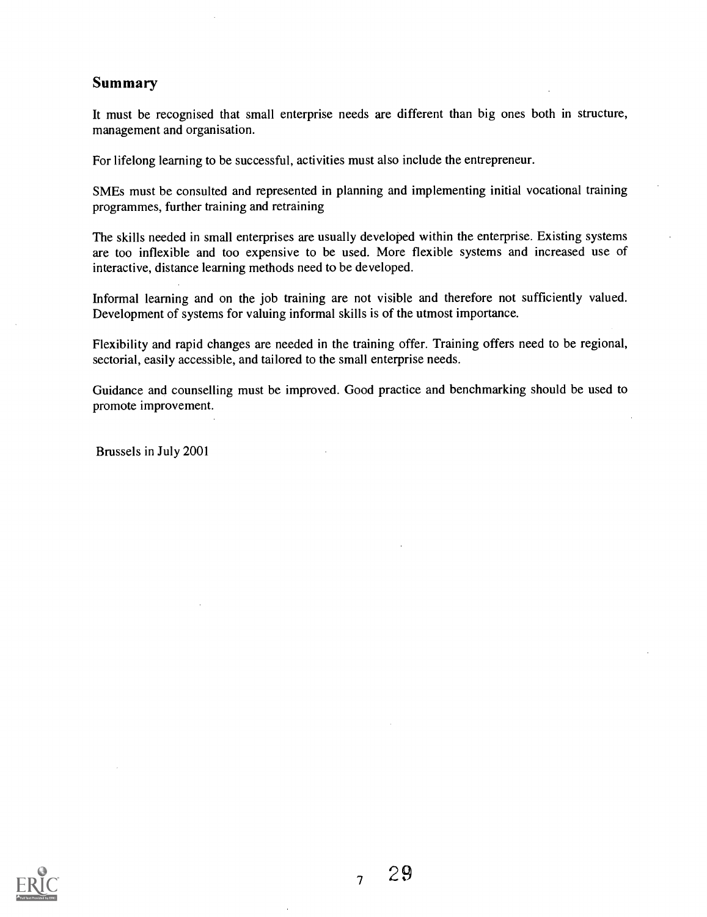#### Summary

It must be recognised that small enterprise needs are different than big ones both in structure, management and organisation.

For lifelong learning to be successful, activities must also include the entrepreneur.

SMEs must be consulted and represented in planning and implementing initial vocational training programmes, further training and retraining

The skills needed in small enterprises are usually developed within the enterprise. Existing systems are too inflexible and too expensive to be used. More flexible systems and increased use of interactive, distance learning methods need to be developed.

Informal learning and on the job training are not visible and therefore not sufficiently valued. Development of systems for valuing informal skills is of the utmost importance.

Flexibility and rapid changes are needed in the training offer. Training offers need to be regional, sectorial, easily accessible, and tailored to the small enterprise needs.

Guidance and counselling must be improved. Good practice and benchmarking should be used to promote improvement.

Brussels in July 2001

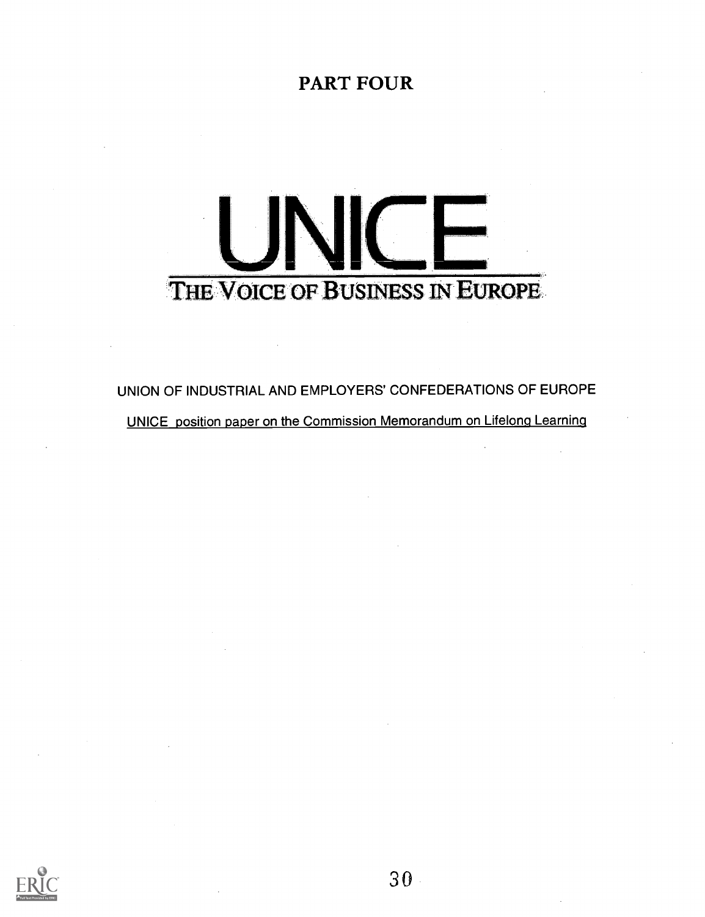### PART FOUR



UNION OF INDUSTRIAL AND EMPLOYERS' CONFEDERATIONS OF EUROPE UNICE position paper on the Commission Memorandum on Lifelong Learning



 $30 -$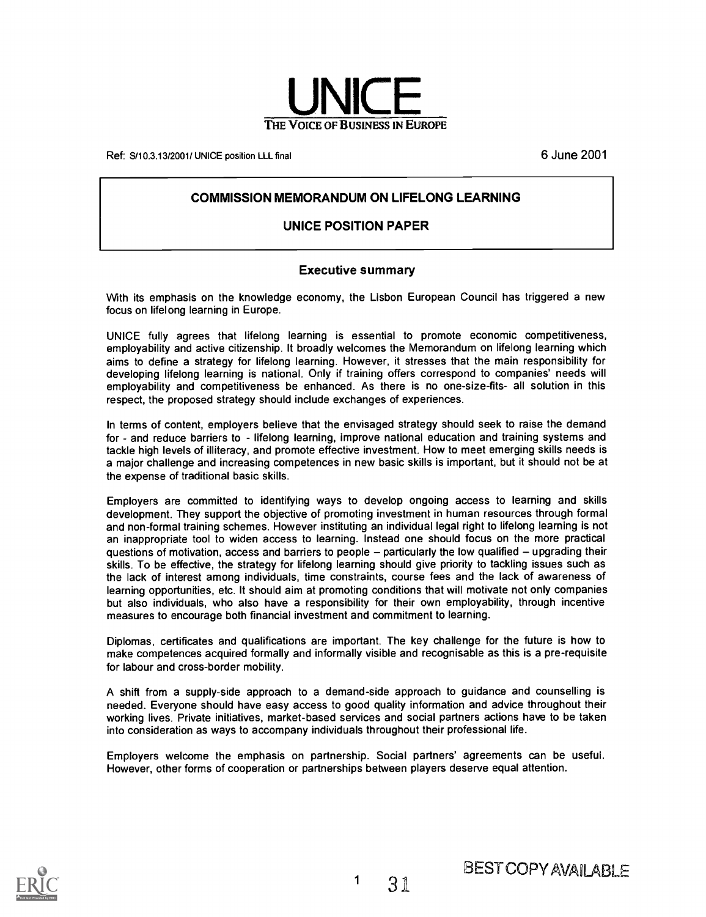

Ref: S/10.3.13/2001/ UNICE position LLL final 6 June 2001 6 June 2001

#### COMMISSION MEMORANDUM ON LIFELONG LEARNING

#### UNICE POSITION PAPER

#### Executive summary

With its emphasis on the knowledge economy, the Lisbon European Council has triggered a new focus on lifelong learning in Europe.

UNICE fully agrees that lifelong learning is essential to promote economic competitiveness, employability and active citizenship. It broadly welcomes the Memorandum on lifelong learning which aims to define a strategy for lifelong learning. However, it stresses that the main responsibility for developing lifelong learning is national. Only if training offers correspond to companies' needs will employability and competitiveness be enhanced. As there is no one-size-fits- all solution in this respect, the proposed strategy should include exchanges of experiences.

In terms of content, employers believe that the envisaged strategy should seek to raise the demand for - and reduce barriers to - lifelong learning, improve national education and training systems and tackle high levels of illiteracy, and promote effective investment. How to meet emerging skills needs is a major challenge and increasing competences in new basic skills is important, but it should not be at the expense of traditional basic skills.

Employers are committed to identifying ways to develop ongoing access to learning and skills development. They support the objective of promoting investment in human resources through formal and non-formal training schemes. However instituting an individual legal right to lifelong learning is not an inappropriate tool to widen access to learning. Instead one should focus on the more practical questions of motivation, access and barriers to people - particularly the low qualified - upgrading their skills. To be effective, the strategy for lifelong learning should give priority to tackling issues such as the lack of interest among individuals, time constraints, course fees and the lack of awareness of learning opportunities, etc. It should aim at promoting conditions that will motivate not only companies but also individuals, who also have a responsibility for their own employability, through incentive measures to encourage both financial investment and commitment to learning.

Diplomas, certificates and qualifications are important. The key challenge for the future is how to make competences acquired formally and informally visible and recognisable as this is a pre-requisite for labour and cross-border mobility.

A shift from a supply-side approach to a demand-side approach to guidance and counselling is needed. Everyone should have easy access to good quality information and advice throughout their working lives. Private initiatives, market-based services and social partners actions have to be taken into consideration as ways to accompany individuals throughout their professional life.

Employers welcome the emphasis on partnership. Social partners' agreements can be useful. However, other forms of cooperation or partnerships between players deserve equal attention.

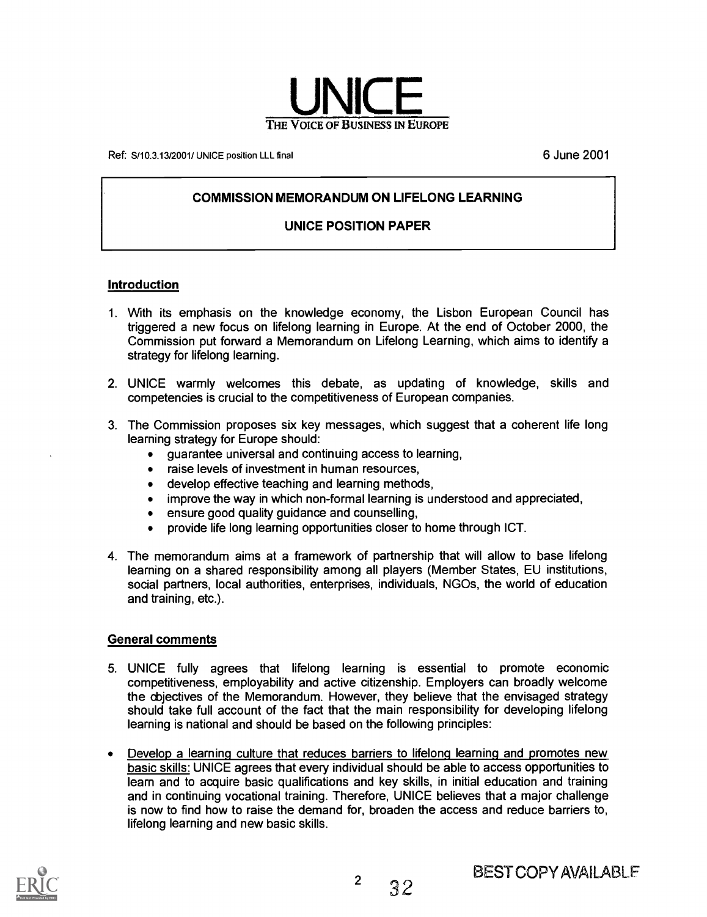

Ref: S/10.3.13/2001/ UNICE position LLL final example and the state of the state of the S/001 of the S/001 of the S/001 of the S/001 of the S/001 of the S/001 of the S/001 of the S/001 of the S/001 of the S/001 of the S/00

#### COMMISSION MEMORANDUM ON LIFELONG LEARNING

#### UNICE POSITION PAPER

#### Introduction

- 1. With its emphasis on the knowledge economy, the Lisbon European Council has triggered a new focus on lifelong learning in Europe. At the end of October 2000, the Commission put forward a Memorandum on Lifelong Learning, which aims to identify a strategy for lifelong learning.
- 2. UNICE warmly welcomes this debate, as updating of knowledge, skills and competencies is crucial to the competitiveness of European companies.
- 3. The Commission proposes six key messages, which suggest that a coherent life long learning strategy for Europe should:
	- guarantee universal and continuing access to learning,  $\bullet$
	- raise levels of investment in human resources,  $\bullet$
	- develop effective teaching and learning methods,
	- improve the way in which non-formal learning is understood and appreciated,
	- ensure good quality guidance and counselling,
	- provide life long learning opportunities closer to home through ICT.
- 4. The memorandum aims at a framework of partnership that will allow to base lifelong learning on a shared responsibility among all players (Member States, EU institutions, social partners, local authorities, enterprises, individuals, NG0s, the world of education and training, etc.).

#### General comments

- 5. UNICE fully agrees that lifelong learning is essential to promote economic competitiveness, employability and active citizenship. Employers can broadly welcome the objectives of the Memorandum. However, they believe that the envisaged strategy should take full account of the fact that the main responsibility for developing lifelong learning is national and should be based on the following principles:
- Develop a learning culture that reduces barriers to lifelong learning and promotes new  $\bullet$ basic skills: UNICE agrees that every individual should be able to access opportunities to learn and to acquire basic qualifications and key skills, in initial education and training and in continuing vocational training. Therefore, UNICE believes that a major challenge is now to find how to raise the demand for, broaden the access and reduce barriers to, lifelong learning and new basic skills.

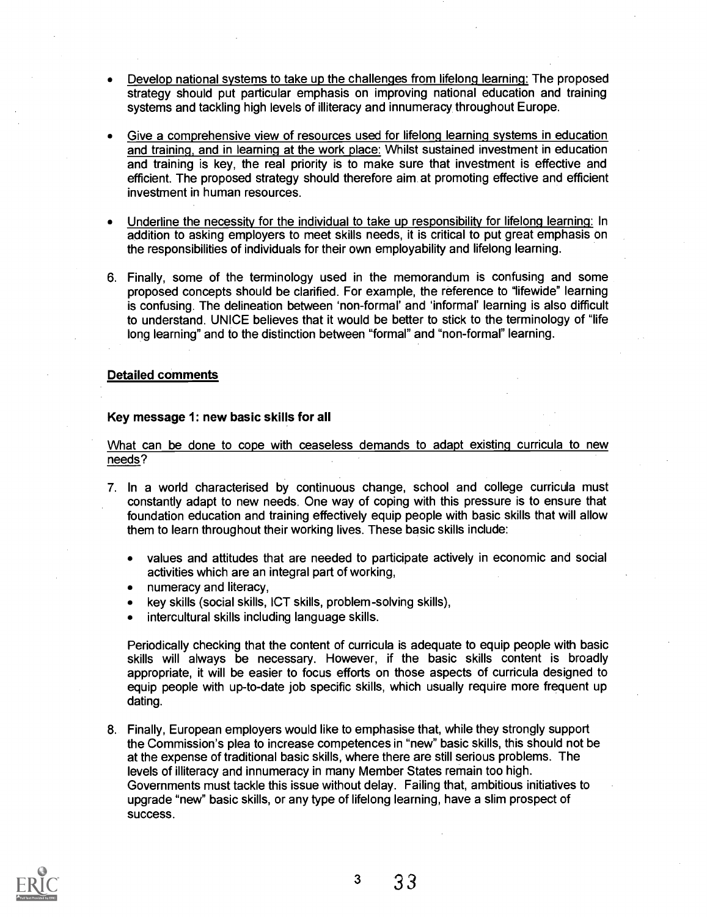- Develop national systems to take up the challenges from lifelong learning: The proposed strategy should put particular emphasis on improving national education and training systems and tackling high levels of illiteracy and innumeracy throughout Europe.
- Give a comprehensive view of resources used for lifelong learning systems in education and training, and in learning at the work place: Whilst sustained investment in education and training is key, the real priority is to make sure that investment is effective and efficient. The proposed strategy should therefore aim at promoting effective and efficient investment in human resources.
- Underline the necessity for the individual to take up responsibility for lifelong learning: In addition to asking employers to meet skills needs, it is critical to put great emphasis on the responsibilities of individuals for their own employability and lifelong learning.
- 6. Finally, some of the terminology used in the memorandum is confusing and some proposed concepts should be clarified. For example, the reference to "lifewide" learning is confusing. The delineation between `non-formal' and 'informal' learning is also difficult to understand. UNICE believes that it would be better to stick to the terminology of "life long learning" and to the distinction between "formal" and "non-formal" learning.

#### Detailed comments

#### Key message 1: new basic skills for all

What can be done to cope with ceaseless demands to adapt existing curricula to new needs?

- 7. In a world characterised by continuous change, school and college curricula must constantly adapt to new needs. One way of coping with this pressure is to ensure that foundation education and training effectively equip people with basic skills that will allow them to learn throughout their working lives. These basic skills include:
	- values and attitudes that are needed to participate actively in economic and social  $\bullet$ activities which are an integral part of working,
	- numeracy and literacy,
	- key skills (social skills, ICT skills, problem-solving skills),
	- intercultural skills including language skills.  $\bullet$

Periodically checking that the content of curricula is adequate to equip people with basic skills will always be necessary. However, if the basic skills content is broadly appropriate, it will be easier to focus efforts on those aspects of curricula designed to equip people with up-to-date job specific skills, which usually require more frequent up dating.

8. Finally, European employers would like to emphasise that, while they strongly support the Commission's plea to increase competences in "new" basic skills, this should not be at the expense of traditional basic skills, where there are still serious problems. The levels of illiteracy and innumeracy in many Member States remain too high. Governments must tackle this issue without delay. Failing that, ambitious initiatives to upgrade "new" basic skills, or any type of lifelong learning, have a slim prospect of success.

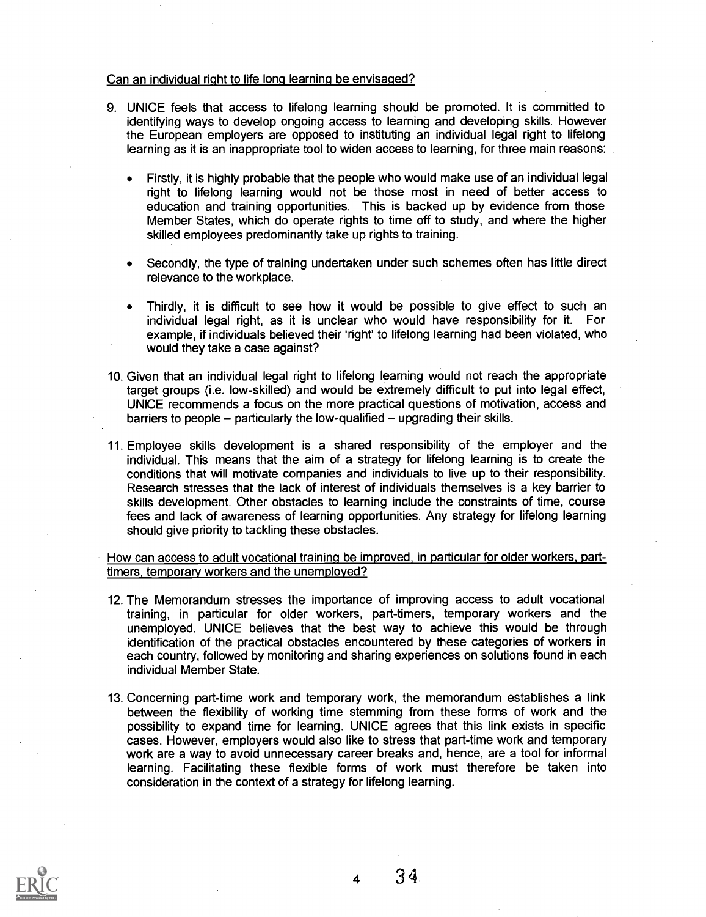#### Can an individual right to life long learning be envisaged?

- 9. UNICE feels that access to lifelong learning should be promoted. It is committed to identifying ways to develop ongoing access to learning and developing skills. However the European employers are opposed to instituting an individual legal right to lifelong learning as it is an inappropriate tool to widen access to learning, for three main reasons:
	- Firstly, it is highly probable that the people who would make use of an individual legal  $\bullet$ right to lifelong learning would not be those most in need of better access to education and training opportunities. This is backed up by evidence from those Member States, which do operate rights to time off to study, and where the higher skilled employees predominantly take up rights to training.
	- Secondly, the type of training undertaken under such schemes often has little direct relevance to the workplace.
	- Thirdly, it is difficult to see how it would be possible to give effect to such an individual legal right, as it is unclear who would have responsibility for it. For example, if individuals believed their 'right' to lifelong learning had been violated, who would they take a case against?
- 10. Given that an individual legal right to lifelong learning would not reach the appropriate target groups (i.e. low-skilled) and would be extremely difficult to put into legal effect, UNICE recommends a focus on the more practical questions of motivation, access and barriers to people  $-$  particularly the low-qualified  $-$  upgrading their skills.
- 11. Employee skills development is a shared responsibility of the employer and the individual. This means that the aim of a strategy for lifelong learning is to create the conditions that will motivate companies and individuals to live up to their responsibility. Research stresses that the lack of interest of individuals themselves is a key barrier to skills development. Other obstacles to learning include the constraints of time, course fees and lack of awareness of learning opportunities. Any strategy for lifelong learning should give priority to tackling these obstacles.

#### How can access to adult vocational training be improved, in particular for older workers, parttimers, temporary workers and the unemployed?

- 12. The Memorandum stresses the importance of improving access to adult vocational training, in particular for older workers, part-timers, temporary workers and the unemployed. UNICE believes that the best way to achieve this would be through identification of the practical obstacles encountered by these categories of workers in each country, followed by monitoring and sharing experiences on solutions found in each individual Member State.
- 13. Concerning part-time work and temporary work, the memorandum establishes a link between the flexibility of working time stemming from these forms of work and the possibility to expand time for learning. UNICE agrees that this link exists in specific cases. However, employers would also like to stress that part-time work and temporary work are a way to avoid unnecessary career breaks and, hence, are a tool for informal learning. Facilitating these flexible forms of work must therefore be taken into consideration in the context of a strategy for lifelong learning.



<sup>4</sup> 3 4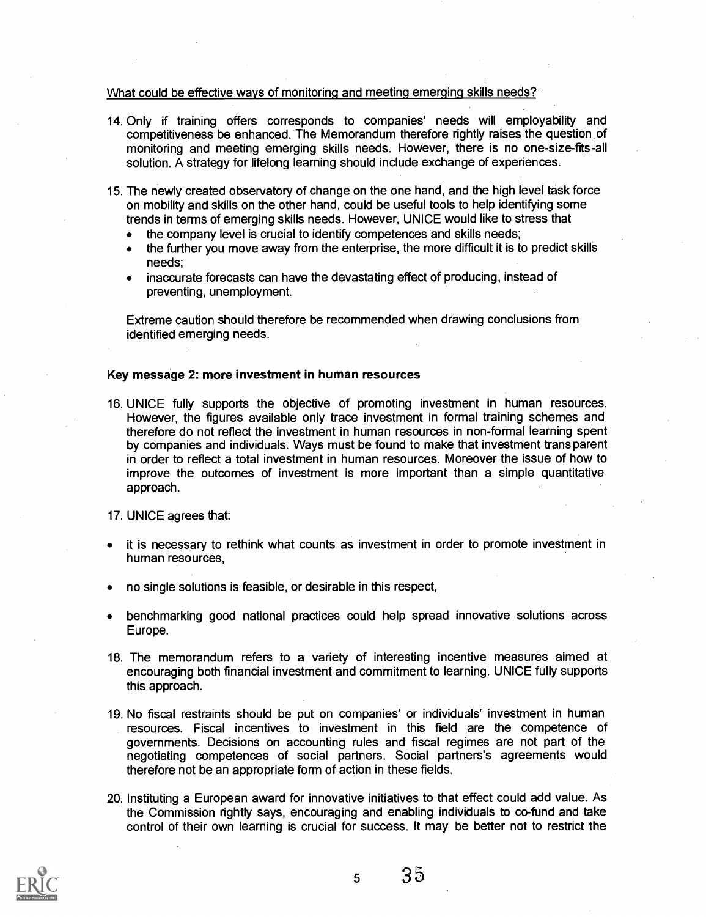#### What could be effective ways of monitoring and meeting emerging skills needs?

- 14. Only if training offers corresponds to companies' needs will employability and competitiveness be enhanced. The Memorandum therefore rightly raises the question of monitoring and meeting emerging skills needs. However, there is no one-size-fits-all solution. A strategy for lifelong learning should include exchange of experiences.
- 15. The newly created observatory of change on the one hand, and the high level task force on mobility and skills on the other hand, could be useful tools to help identifying some trends in terms of emerging skills needs. However, UNICE would like to stress that
	- the company level is crucial to identify competences and skills needs;
	- the further you move away from the enterprise, the more difficult it is to predict skills  $\bullet$ needs;
	- inaccurate forecasts can have the devastating effect of producing, instead of preventing, unemployment.

Extreme caution should therefore be recommended when drawing conclusions from identified emerging needs.

#### Key message 2: more investment in human resources

- 16. UNICE fully supports the objective of promoting investment in human resources. However, the figures available only trace investment in formal training schemes and therefore do not reflect the investment in human resources in non-formal learning spent by companies and individuals. Ways must be found to make that investment trans parent in order to reflect a total investment in human resources. Moreover the issue of how to improve the outcomes of investment is more important than a simple quantitative approach.
- 17. UNICE agrees that:
- it is necessary to rethink what counts as investment in order to promote investment in human resources,
- no single solutions is feasible, or desirable in this respect,
- benchmarking good national practices could help spread innovative solutions across Europe.
- 18. The memorandum refers to a variety of interesting incentive measures aimed at encouraging both financial investment and commitment to learning. UNICE fully supports this approach.
- 19. No fiscal restraints should be put on companies' or individuals' investment in human resources. Fiscal incentives to investment in this field are the competence of governments. Decisions on accounting rules and fiscal regimes are not part of the negotiating competences of social partners. Social partners's agreements would therefore not be an appropriate form of action in these fields.
- 20. Instituting a European award for innovative initiatives to that effect could add value. As the Commission rightly says, encouraging and enabling individuals to co-fund and take control of their own learning is crucial for success. It may be better not to restrict the

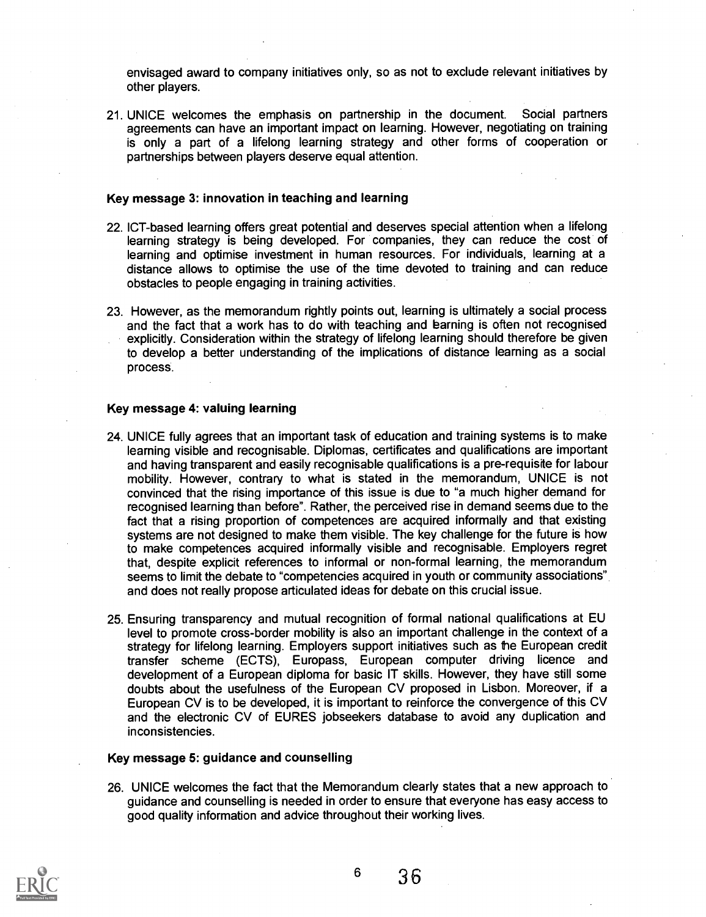envisaged award to company initiatives only, so as not to exclude relevant initiatives by other players.

21. UNICE welcomes the emphasis on partnership in the document. Social partners agreements can have an important impact on learning. However, negotiating on training is only a part of a lifelong learning strategy and other forms of cooperation or partnerships between players deserve equal attention.

#### Key message 3: innovation in teaching and learning

- 22. ICT-based learning offers great potential and deserves special attention when a lifelong learning strategy is being developed. For companies, they can reduce the cost of learning and optimise investment in human resources. For individuals, learning at a distance allows to optimise the use of the time devoted to training and can reduce obstacles to people engaging in training activities.
- 23. However, as the memorandum rightly points out, learning is ultimately a social process and the fact that a work has to do with teaching and barning is often not recognised explicitly. Consideration within the strategy of lifelong learning should therefore be given to develop a better understanding of the implications of distance learning as a social process.

#### Key message 4: valuing learning

- 24. UNICE fully agrees that an important task of education and training systems is to make learning visible and recognisable. Diplomas, certificates and qualifications are important and having transparent and easily recognisable qualifications is a pre-requisite for labour mobility. However, contrary to what is stated in the memorandum, UNICE is not convinced that the rising importance of this issue is due to "a much higher demand for recognised learning than before". Rather, the perceived rise in demand seems due to the fact that a rising proportion of competences are acquired informally and that existing systems are not designed to make them visible. The key challenge for the future is how to make competences acquired informally visible and recognisable. Employers regret that, despite explicit references to informal or non-formal learning, the memorandum seems to limit the debate to "competencies acquired in youth or community associations" and does not really propose articulated ideas for debate on this crucial issue.
- 25. Ensuring transparency and mutual recognition of formal national qualifications at EU level to promote cross-border mobility is also an important challenge in the context of a strategy for lifelong learning. Employers support initiatives such as the European credit transfer scheme (ECTS), Europass, European computer driving licence and development of a European diploma for basic IT skills. However, they have still some doubts about the usefulness of the European CV proposed in Lisbon. Moreover, if a European CV is to be developed, it is important to reinforce the convergence of this CV and the electronic CV of EURES jobseekers database to avoid any duplication and inconsistencies.

#### Key message 5: guidance and counselling

26. UNICE welcomes the fact that the Memorandum clearly states that a new approach to guidance and counselling is needed in order to ensure that everyone has easy access to good quality information and advice throughout their working lives.

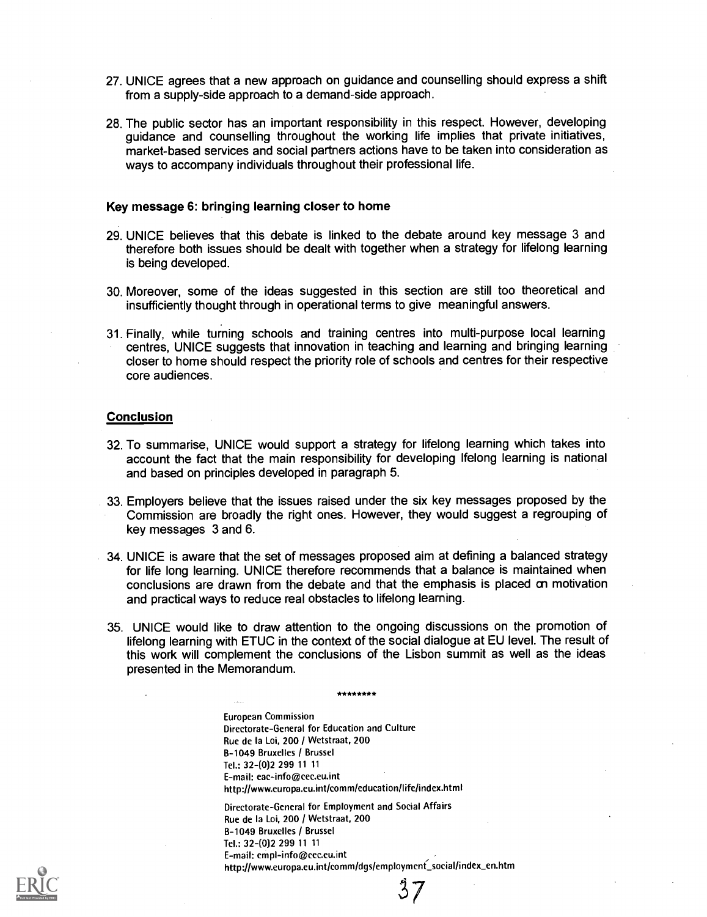- 27. UNICE agrees that a new approach on guidance and counselling should express a shift from a supply-side approach to a demand-side approach.
- 28. The public sector has an important responsibility in this respect. However, developing guidance and counselling throughout the working life implies that private initiatives, market-based services and social partners actions have to be taken into consideration as ways to accompany individuals throughout their professional life.

#### Key message 6: bringing learning closer to home

- 29. UNICE believes that this debate is linked to the debate around key message 3 and therefore both issues should be dealt with together when a strategy for lifelong learning is being developed.
- 30. Moreover, some of the ideas suggested in this section are still too theoretical and insufficiently thought through in operational terms to give meaningful answers.
- 31. Finally, while turning schools and training centres into multi-purpose local learning centres, UNICE suggests that innovation in teaching and learning and bringing learning closer to home should respect the priority role of schools and centres for their respective core audiences.

#### **Conclusion**

- 32. To summarise, UNICE would support a strategy for lifelong learning which takes into account the fact that the main responsibility for developing Ifelong learning is national and based on principles developed in paragraph 5.
- 33. Employers believe that the issues raised under the six key messages proposed by the Commission are broadly the right ones. However, they would suggest a regrouping of key messages 3 and 6.
- 34. UNICE is aware that the set of messages proposed aim at defining a balanced strategy for life long learning. UNICE therefore recommends that a balance is maintained when conclusions are drawn from the debate and that the emphasis is placed on motivation and practical ways to reduce real obstacles to lifelong learning.
- 35. UNICE would like to draw attention to the ongoing discussions on the promotion of lifelong learning with ETUC in the context of the social dialogue at EU level. The result of this work will complement the conclusions of the Lisbon summit as well as the ideas presented in the Memorandum.

\*\*\*\*\*\*\*

European Commission Directorate-General for Education and Culture Rue de la Loi, 200 / Wetstraat, 200 B-1049 Bruxelles / Brussel Tel.: 32 -(0)2 299 11 11 E-mail: eac-info@cec.eu.int http://www.europa.eu.int/comm/education/life/index.html

Directorate-General for Employment and Social Affairs Rue de la Loi, 200 / Wetstraat, 200 B-1049 Bruxelles / Brussel Tel.: 32-(0)2 299 11 11 E-mail: empl-info@cec.eu.int http://www.europa.eu.int/comm/dgs/employment\_social/index\_en.htm